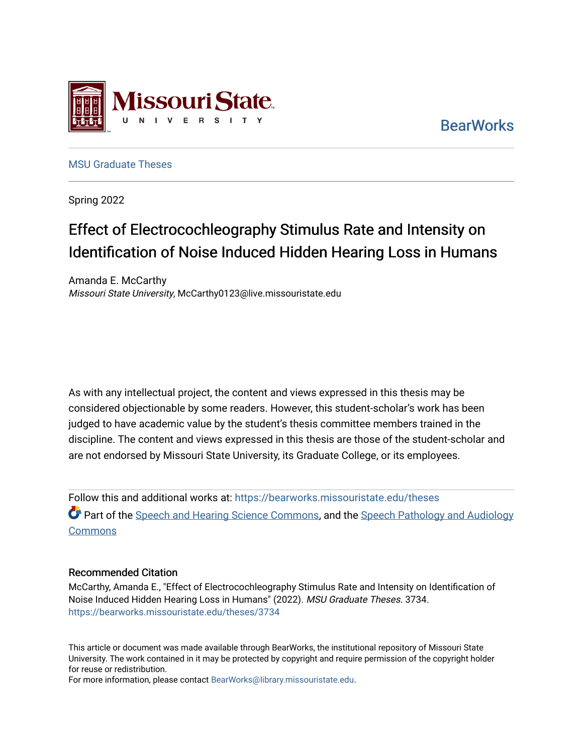

**BearWorks** 

[MSU Graduate Theses](https://bearworks.missouristate.edu/theses) 

Spring 2022

# Effect of Electrocochleography Stimulus Rate and Intensity on Identification of Noise Induced Hidden Hearing Loss in Humans

Amanda E. McCarthy Missouri State University, McCarthy0123@live.missouristate.edu

As with any intellectual project, the content and views expressed in this thesis may be considered objectionable by some readers. However, this student-scholar's work has been judged to have academic value by the student's thesis committee members trained in the discipline. The content and views expressed in this thesis are those of the student-scholar and are not endorsed by Missouri State University, its Graduate College, or its employees.

Follow this and additional works at: [https://bearworks.missouristate.edu/theses](https://bearworks.missouristate.edu/theses?utm_source=bearworks.missouristate.edu%2Ftheses%2F3734&utm_medium=PDF&utm_campaign=PDFCoverPages)  **Part of the [Speech and Hearing Science Commons](https://network.bepress.com/hgg/discipline/1033?utm_source=bearworks.missouristate.edu%2Ftheses%2F3734&utm_medium=PDF&utm_campaign=PDFCoverPages), and the Speech Pathology and Audiology Commons** 

### Recommended Citation

McCarthy, Amanda E., "Effect of Electrocochleography Stimulus Rate and Intensity on Identification of Noise Induced Hidden Hearing Loss in Humans" (2022). MSU Graduate Theses. 3734. [https://bearworks.missouristate.edu/theses/3734](https://bearworks.missouristate.edu/theses/3734?utm_source=bearworks.missouristate.edu%2Ftheses%2F3734&utm_medium=PDF&utm_campaign=PDFCoverPages) 

This article or document was made available through BearWorks, the institutional repository of Missouri State University. The work contained in it may be protected by copyright and require permission of the copyright holder for reuse or redistribution.

For more information, please contact [BearWorks@library.missouristate.edu.](mailto:BearWorks@library.missouristate.edu)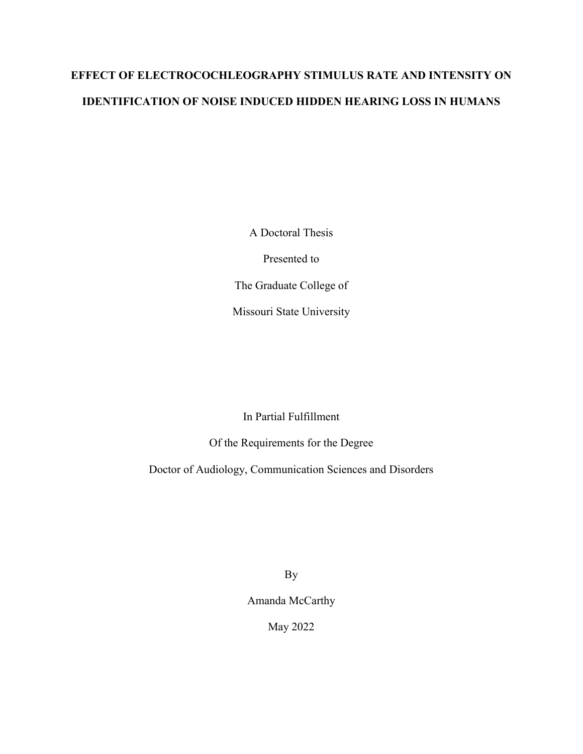# **EFFECT OF ELECTROCOCHLEOGRAPHY STIMULUS RATE AND INTENSITY ON IDENTIFICATION OF NOISE INDUCED HIDDEN HEARING LOSS IN HUMANS**

A Doctoral Thesis

Presented to

The Graduate College of

Missouri State University

In Partial Fulfillment

Of the Requirements for the Degree

Doctor of Audiology, Communication Sciences and Disorders

By

Amanda McCarthy

May 2022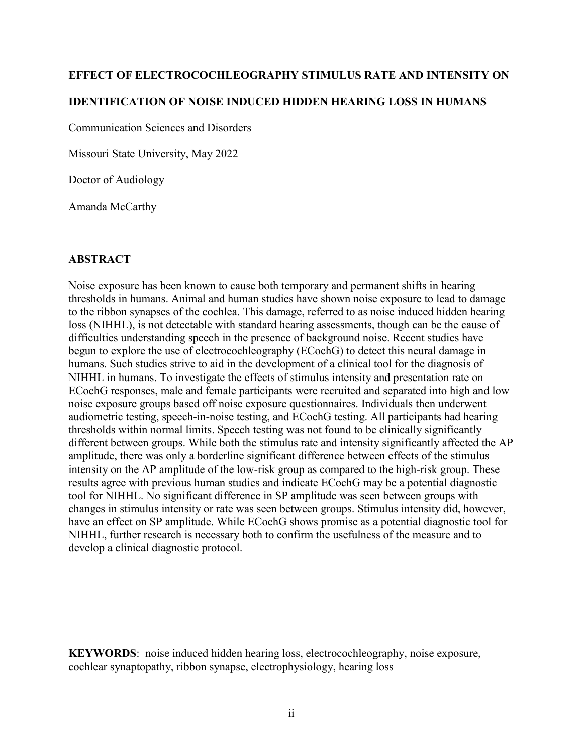# **EFFECT OF ELECTROCOCHLEOGRAPHY STIMULUS RATE AND INTENSITY ON IDENTIFICATION OF NOISE INDUCED HIDDEN HEARING LOSS IN HUMANS**

Communication Sciences and Disorders

Missouri State University, May 2022

Doctor of Audiology

Amanda McCarthy

## **ABSTRACT**

Noise exposure has been known to cause both temporary and permanent shifts in hearing thresholds in humans. Animal and human studies have shown noise exposure to lead to damage to the ribbon synapses of the cochlea. This damage, referred to as noise induced hidden hearing loss (NIHHL), is not detectable with standard hearing assessments, though can be the cause of difficulties understanding speech in the presence of background noise. Recent studies have begun to explore the use of electrocochleography (ECochG) to detect this neural damage in humans. Such studies strive to aid in the development of a clinical tool for the diagnosis of NIHHL in humans. To investigate the effects of stimulus intensity and presentation rate on ECochG responses, male and female participants were recruited and separated into high and low noise exposure groups based off noise exposure questionnaires. Individuals then underwent audiometric testing, speech-in-noise testing, and ECochG testing. All participants had hearing thresholds within normal limits. Speech testing was not found to be clinically significantly different between groups. While both the stimulus rate and intensity significantly affected the AP amplitude, there was only a borderline significant difference between effects of the stimulus intensity on the AP amplitude of the low-risk group as compared to the high-risk group. These results agree with previous human studies and indicate ECochG may be a potential diagnostic tool for NIHHL. No significant difference in SP amplitude was seen between groups with changes in stimulus intensity or rate was seen between groups. Stimulus intensity did, however, have an effect on SP amplitude. While ECochG shows promise as a potential diagnostic tool for NIHHL, further research is necessary both to confirm the usefulness of the measure and to develop a clinical diagnostic protocol.

**KEYWORDS**: noise induced hidden hearing loss, electrocochleography, noise exposure, cochlear synaptopathy, ribbon synapse, electrophysiology, hearing loss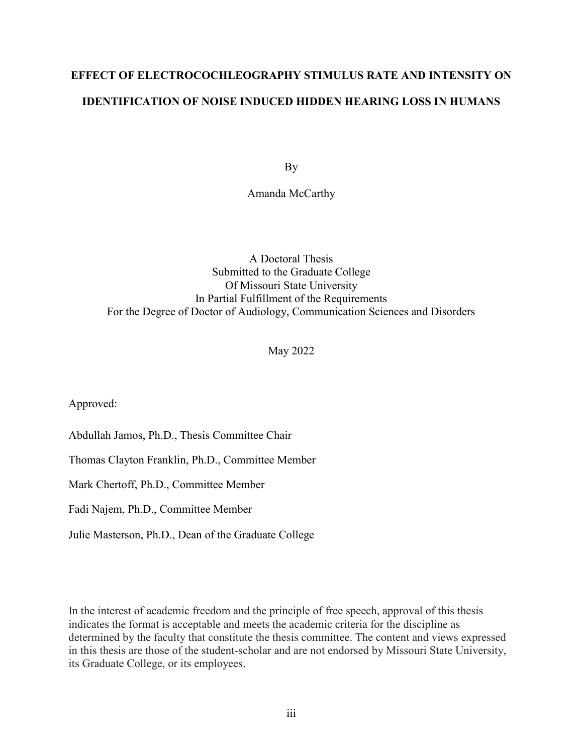# **EFFECT OF ELECTROCOCHLEOGRAPHY STIMULUS RATE AND INTENSITY ON IDENTIFICATION OF NOISE INDUCED HIDDEN HEARING LOSS IN HUMANS**

By

Amanda McCarthy

## A Doctoral Thesis Submitted to the Graduate College Of Missouri State University In Partial Fulfillment of the Requirements For the Degree of Doctor of Audiology, Communication Sciences and Disorders

May 2022

Approved:

Abdullah Jamos, Ph.D., Thesis Committee Chair

Thomas Clayton Franklin, Ph.D., Committee Member

Mark Chertoff, Ph.D., Committee Member

Fadi Najem, Ph.D., Committee Member

Julie Masterson, Ph.D., Dean of the Graduate College

In the interest of academic freedom and the principle of free speech, approval of this thesis indicates the format is acceptable and meets the academic criteria for the discipline as determined by the faculty that constitute the thesis committee. The content and views expressed in this thesis are those of the student-scholar and are not endorsed by Missouri State University, its Graduate College, or its employees.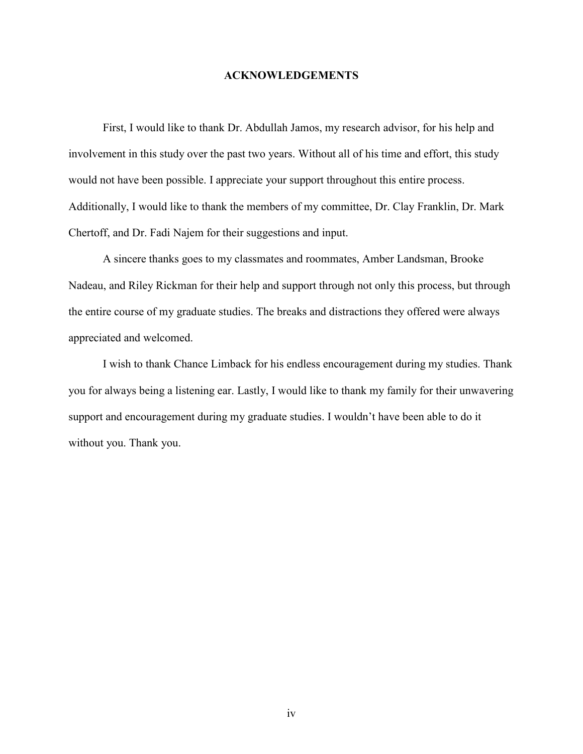### **ACKNOWLEDGEMENTS**

First, I would like to thank Dr. Abdullah Jamos, my research advisor, for his help and involvement in this study over the past two years. Without all of his time and effort, this study would not have been possible. I appreciate your support throughout this entire process. Additionally, I would like to thank the members of my committee, Dr. Clay Franklin, Dr. Mark Chertoff, and Dr. Fadi Najem for their suggestions and input.

A sincere thanks goes to my classmates and roommates, Amber Landsman, Brooke Nadeau, and Riley Rickman for their help and support through not only this process, but through the entire course of my graduate studies. The breaks and distractions they offered were always appreciated and welcomed.

I wish to thank Chance Limback for his endless encouragement during my studies. Thank you for always being a listening ear. Lastly, I would like to thank my family for their unwavering support and encouragement during my graduate studies. I wouldn't have been able to do it without you. Thank you.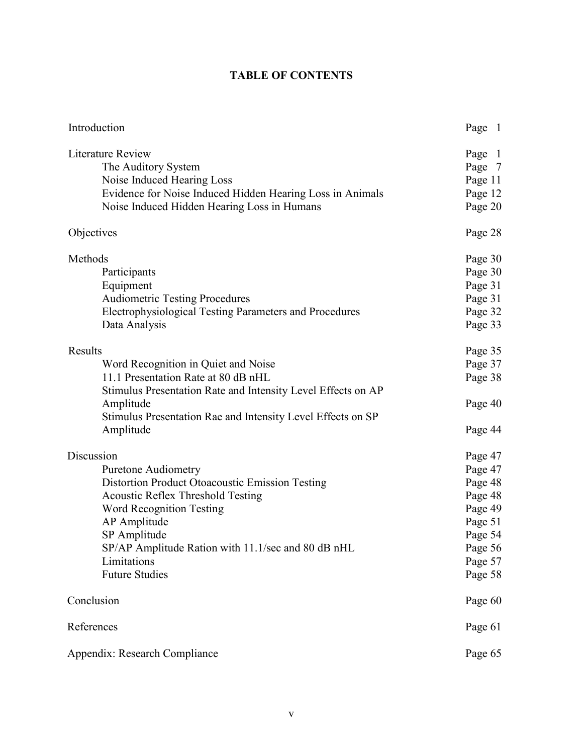## **TABLE OF CONTENTS**

| Introduction                                                  | Page 1  |
|---------------------------------------------------------------|---------|
| Literature Review                                             | Page 1  |
| The Auditory System                                           | Page 7  |
| Noise Induced Hearing Loss                                    | Page 11 |
| Evidence for Noise Induced Hidden Hearing Loss in Animals     | Page 12 |
| Noise Induced Hidden Hearing Loss in Humans                   | Page 20 |
| Objectives                                                    | Page 28 |
| Methods                                                       | Page 30 |
| Participants                                                  | Page 30 |
| Equipment                                                     | Page 31 |
| <b>Audiometric Testing Procedures</b>                         | Page 31 |
| <b>Electrophysiological Testing Parameters and Procedures</b> | Page 32 |
| Data Analysis                                                 | Page 33 |
| Results                                                       | Page 35 |
| Word Recognition in Quiet and Noise                           | Page 37 |
| 11.1 Presentation Rate at 80 dB nHL                           | Page 38 |
| Stimulus Presentation Rate and Intensity Level Effects on AP  |         |
| Amplitude                                                     | Page 40 |
| Stimulus Presentation Rae and Intensity Level Effects on SP   |         |
| Amplitude                                                     | Page 44 |
| Discussion                                                    | Page 47 |
| <b>Puretone Audiometry</b>                                    | Page 47 |
| Distortion Product Otoacoustic Emission Testing               | Page 48 |
| <b>Acoustic Reflex Threshold Testing</b>                      | Page 48 |
| <b>Word Recognition Testing</b>                               | Page 49 |
| AP Amplitude                                                  | Page 51 |
| SP Amplitude                                                  | Page 54 |
| SP/AP Amplitude Ration with 11.1/sec and 80 dB nHL            | Page 56 |
| Limitations                                                   | Page 57 |
| <b>Future Studies</b>                                         | Page 58 |
| Conclusion                                                    | Page 60 |
| References                                                    | Page 61 |
| Appendix: Research Compliance                                 | Page 65 |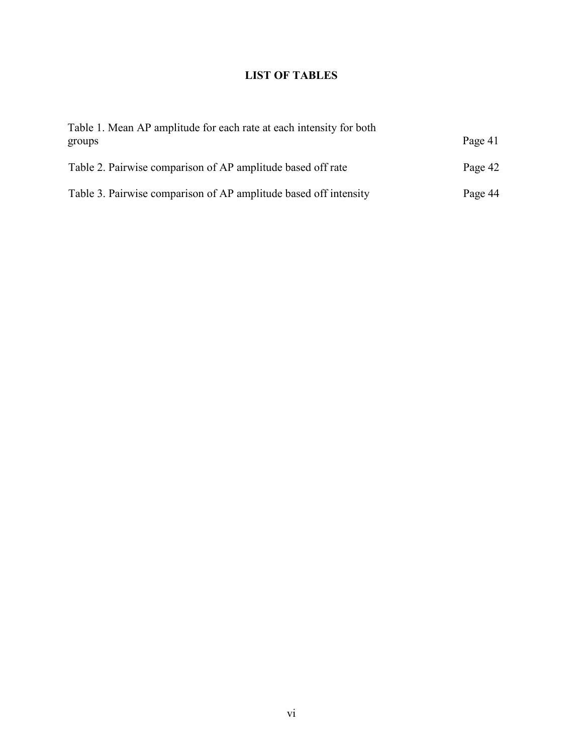## **LIST OF TABLES**

| Table 1. Mean AP amplitude for each rate at each intensity for both<br>groups | Page 41 |
|-------------------------------------------------------------------------------|---------|
| Table 2. Pairwise comparison of AP amplitude based off rate                   | Page 42 |
| Table 3. Pairwise comparison of AP amplitude based off intensity              | Page 44 |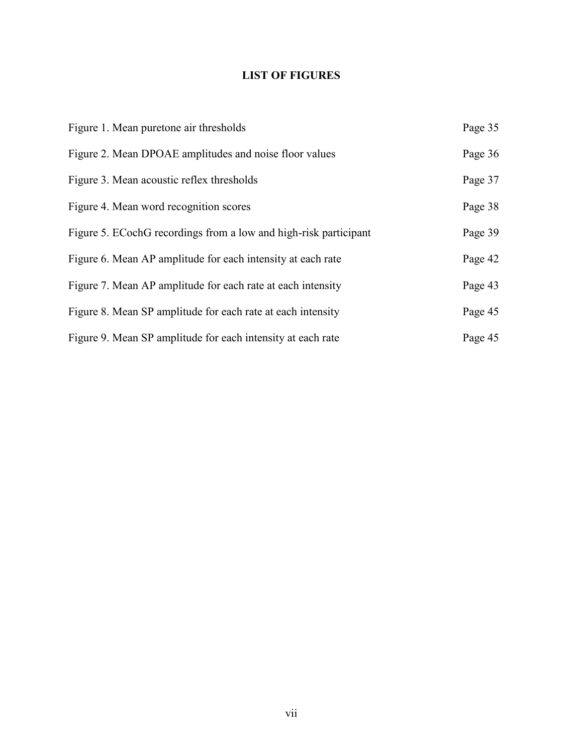## **LIST OF FIGURES**

| Figure 1. Mean puretone air thresholds                           | Page 35 |
|------------------------------------------------------------------|---------|
| Figure 2. Mean DPOAE amplitudes and noise floor values           | Page 36 |
| Figure 3. Mean acoustic reflex thresholds                        | Page 37 |
| Figure 4. Mean word recognition scores                           | Page 38 |
| Figure 5. ECochG recordings from a low and high-risk participant | Page 39 |
| Figure 6. Mean AP amplitude for each intensity at each rate      | Page 42 |
| Figure 7. Mean AP amplitude for each rate at each intensity      | Page 43 |
| Figure 8. Mean SP amplitude for each rate at each intensity      | Page 45 |
| Figure 9. Mean SP amplitude for each intensity at each rate      | Page 45 |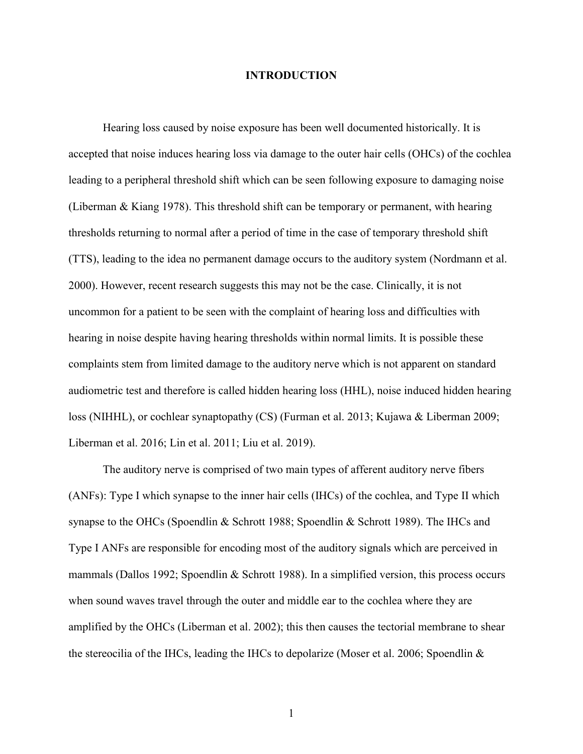### **INTRODUCTION**

Hearing loss caused by noise exposure has been well documented historically. It is accepted that noise induces hearing loss via damage to the outer hair cells (OHCs) of the cochlea leading to a peripheral threshold shift which can be seen following exposure to damaging noise (Liberman & Kiang 1978). This threshold shift can be temporary or permanent, with hearing thresholds returning to normal after a period of time in the case of temporary threshold shift (TTS), leading to the idea no permanent damage occurs to the auditory system (Nordmann et al. 2000). However, recent research suggests this may not be the case. Clinically, it is not uncommon for a patient to be seen with the complaint of hearing loss and difficulties with hearing in noise despite having hearing thresholds within normal limits. It is possible these complaints stem from limited damage to the auditory nerve which is not apparent on standard audiometric test and therefore is called hidden hearing loss (HHL), noise induced hidden hearing loss (NIHHL), or cochlear synaptopathy (CS) (Furman et al. 2013; Kujawa & Liberman 2009; Liberman et al. 2016; Lin et al. 2011; Liu et al. 2019).

The auditory nerve is comprised of two main types of afferent auditory nerve fibers (ANFs): Type I which synapse to the inner hair cells (IHCs) of the cochlea, and Type II which synapse to the OHCs (Spoendlin & Schrott 1988; Spoendlin & Schrott 1989). The IHCs and Type I ANFs are responsible for encoding most of the auditory signals which are perceived in mammals (Dallos 1992; Spoendlin & Schrott 1988). In a simplified version, this process occurs when sound waves travel through the outer and middle ear to the cochlea where they are amplified by the OHCs (Liberman et al. 2002); this then causes the tectorial membrane to shear the stereocilia of the IHCs, leading the IHCs to depolarize (Moser et al. 2006; Spoendlin &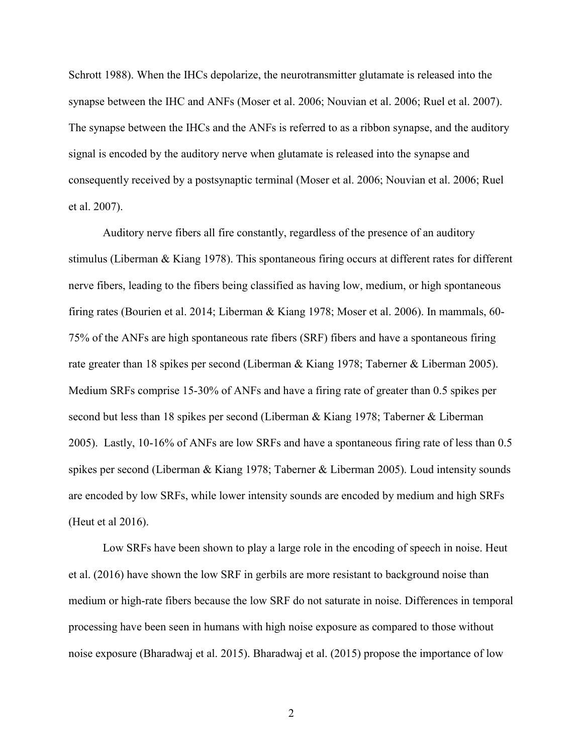Schrott 1988). When the IHCs depolarize, the neurotransmitter glutamate is released into the synapse between the IHC and ANFs (Moser et al. 2006; Nouvian et al. 2006; Ruel et al. 2007). The synapse between the IHCs and the ANFs is referred to as a ribbon synapse, and the auditory signal is encoded by the auditory nerve when glutamate is released into the synapse and consequently received by a postsynaptic terminal (Moser et al. 2006; Nouvian et al. 2006; Ruel et al. 2007).

Auditory nerve fibers all fire constantly, regardless of the presence of an auditory stimulus (Liberman & Kiang 1978). This spontaneous firing occurs at different rates for different nerve fibers, leading to the fibers being classified as having low, medium, or high spontaneous firing rates (Bourien et al. 2014; Liberman & Kiang 1978; Moser et al. 2006). In mammals, 60- 75% of the ANFs are high spontaneous rate fibers (SRF) fibers and have a spontaneous firing rate greater than 18 spikes per second (Liberman & Kiang 1978; Taberner & Liberman 2005). Medium SRFs comprise 15-30% of ANFs and have a firing rate of greater than 0.5 spikes per second but less than 18 spikes per second (Liberman & Kiang 1978; Taberner & Liberman 2005). Lastly, 10-16% of ANFs are low SRFs and have a spontaneous firing rate of less than 0.5 spikes per second (Liberman & Kiang 1978; Taberner & Liberman 2005). Loud intensity sounds are encoded by low SRFs, while lower intensity sounds are encoded by medium and high SRFs (Heut et al 2016).

Low SRFs have been shown to play a large role in the encoding of speech in noise. Heut et al. (2016) have shown the low SRF in gerbils are more resistant to background noise than medium or high-rate fibers because the low SRF do not saturate in noise. Differences in temporal processing have been seen in humans with high noise exposure as compared to those without noise exposure (Bharadwaj et al. 2015). Bharadwaj et al. (2015) propose the importance of low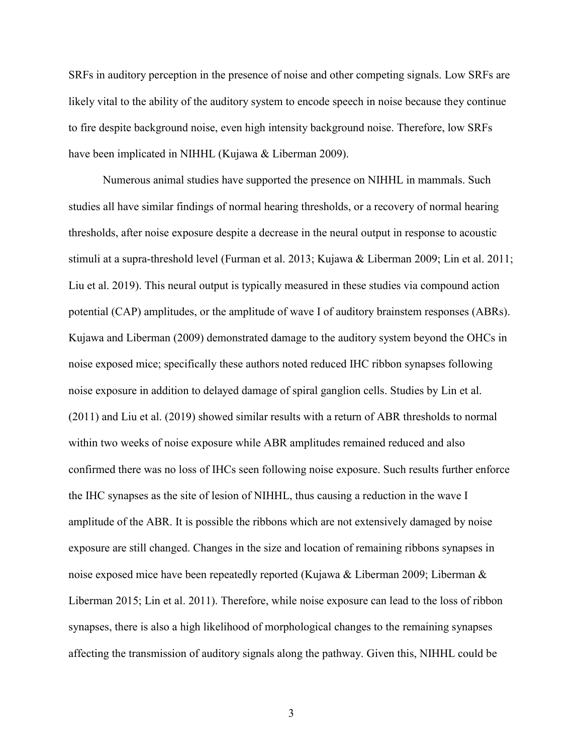SRFs in auditory perception in the presence of noise and other competing signals. Low SRFs are likely vital to the ability of the auditory system to encode speech in noise because they continue to fire despite background noise, even high intensity background noise. Therefore, low SRFs have been implicated in NIHHL (Kujawa & Liberman 2009).

Numerous animal studies have supported the presence on NIHHL in mammals. Such studies all have similar findings of normal hearing thresholds, or a recovery of normal hearing thresholds, after noise exposure despite a decrease in the neural output in response to acoustic stimuli at a supra-threshold level (Furman et al. 2013; Kujawa & Liberman 2009; Lin et al. 2011; Liu et al. 2019). This neural output is typically measured in these studies via compound action potential (CAP) amplitudes, or the amplitude of wave I of auditory brainstem responses (ABRs). Kujawa and Liberman (2009) demonstrated damage to the auditory system beyond the OHCs in noise exposed mice; specifically these authors noted reduced IHC ribbon synapses following noise exposure in addition to delayed damage of spiral ganglion cells. Studies by Lin et al. (2011) and Liu et al. (2019) showed similar results with a return of ABR thresholds to normal within two weeks of noise exposure while ABR amplitudes remained reduced and also confirmed there was no loss of IHCs seen following noise exposure. Such results further enforce the IHC synapses as the site of lesion of NIHHL, thus causing a reduction in the wave I amplitude of the ABR. It is possible the ribbons which are not extensively damaged by noise exposure are still changed. Changes in the size and location of remaining ribbons synapses in noise exposed mice have been repeatedly reported (Kujawa & Liberman 2009; Liberman & Liberman 2015; Lin et al. 2011). Therefore, while noise exposure can lead to the loss of ribbon synapses, there is also a high likelihood of morphological changes to the remaining synapses affecting the transmission of auditory signals along the pathway. Given this, NIHHL could be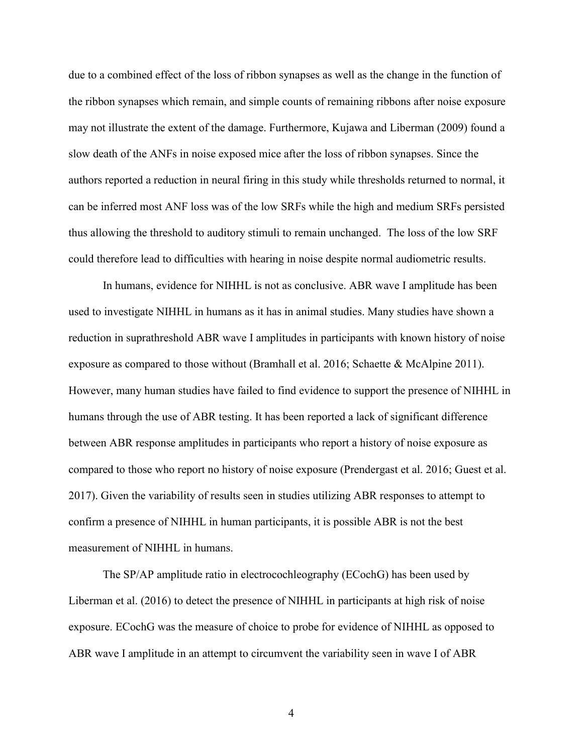due to a combined effect of the loss of ribbon synapses as well as the change in the function of the ribbon synapses which remain, and simple counts of remaining ribbons after noise exposure may not illustrate the extent of the damage. Furthermore, Kujawa and Liberman (2009) found a slow death of the ANFs in noise exposed mice after the loss of ribbon synapses. Since the authors reported a reduction in neural firing in this study while thresholds returned to normal, it can be inferred most ANF loss was of the low SRFs while the high and medium SRFs persisted thus allowing the threshold to auditory stimuli to remain unchanged. The loss of the low SRF could therefore lead to difficulties with hearing in noise despite normal audiometric results.

In humans, evidence for NIHHL is not as conclusive. ABR wave I amplitude has been used to investigate NIHHL in humans as it has in animal studies. Many studies have shown a reduction in suprathreshold ABR wave I amplitudes in participants with known history of noise exposure as compared to those without (Bramhall et al. 2016; Schaette & McAlpine 2011). However, many human studies have failed to find evidence to support the presence of NIHHL in humans through the use of ABR testing. It has been reported a lack of significant difference between ABR response amplitudes in participants who report a history of noise exposure as compared to those who report no history of noise exposure (Prendergast et al. 2016; Guest et al. 2017). Given the variability of results seen in studies utilizing ABR responses to attempt to confirm a presence of NIHHL in human participants, it is possible ABR is not the best measurement of NIHHL in humans.

The SP/AP amplitude ratio in electrocochleography (ECochG) has been used by Liberman et al. (2016) to detect the presence of NIHHL in participants at high risk of noise exposure. ECochG was the measure of choice to probe for evidence of NIHHL as opposed to ABR wave I amplitude in an attempt to circumvent the variability seen in wave I of ABR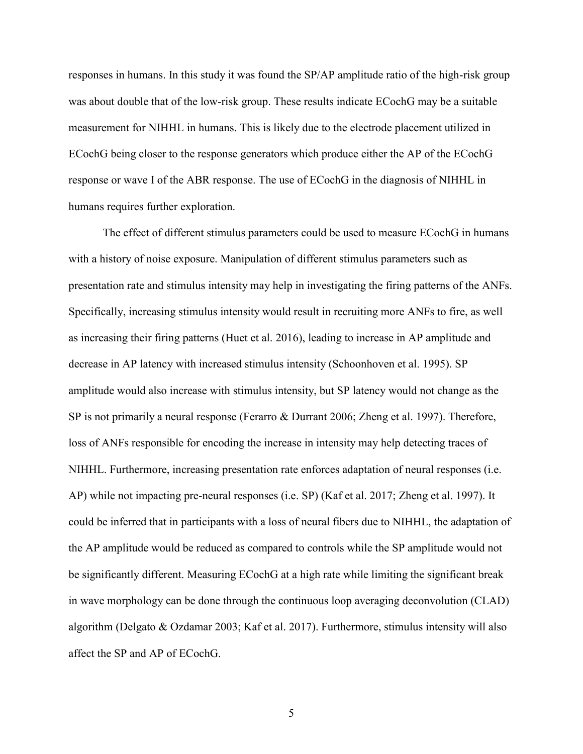responses in humans. In this study it was found the SP/AP amplitude ratio of the high-risk group was about double that of the low-risk group. These results indicate ECochG may be a suitable measurement for NIHHL in humans. This is likely due to the electrode placement utilized in ECochG being closer to the response generators which produce either the AP of the ECochG response or wave I of the ABR response. The use of ECochG in the diagnosis of NIHHL in humans requires further exploration.

The effect of different stimulus parameters could be used to measure ECochG in humans with a history of noise exposure. Manipulation of different stimulus parameters such as presentation rate and stimulus intensity may help in investigating the firing patterns of the ANFs. Specifically, increasing stimulus intensity would result in recruiting more ANFs to fire, as well as increasing their firing patterns (Huet et al. 2016), leading to increase in AP amplitude and decrease in AP latency with increased stimulus intensity (Schoonhoven et al. 1995). SP amplitude would also increase with stimulus intensity, but SP latency would not change as the SP is not primarily a neural response (Ferarro & Durrant 2006; Zheng et al. 1997). Therefore, loss of ANFs responsible for encoding the increase in intensity may help detecting traces of NIHHL. Furthermore, increasing presentation rate enforces adaptation of neural responses (i.e. AP) while not impacting pre-neural responses (i.e. SP) (Kaf et al. 2017; Zheng et al. 1997). It could be inferred that in participants with a loss of neural fibers due to NIHHL, the adaptation of the AP amplitude would be reduced as compared to controls while the SP amplitude would not be significantly different. Measuring ECochG at a high rate while limiting the significant break in wave morphology can be done through the continuous loop averaging deconvolution (CLAD) algorithm (Delgato & Ozdamar 2003; Kaf et al. 2017). Furthermore, stimulus intensity will also affect the SP and AP of ECochG.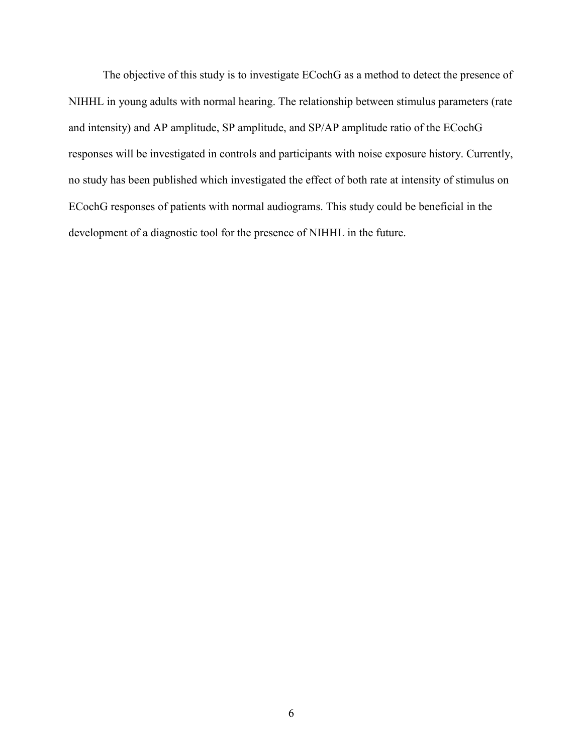The objective of this study is to investigate ECochG as a method to detect the presence of NIHHL in young adults with normal hearing. The relationship between stimulus parameters (rate and intensity) and AP amplitude, SP amplitude, and SP/AP amplitude ratio of the ECochG responses will be investigated in controls and participants with noise exposure history. Currently, no study has been published which investigated the effect of both rate at intensity of stimulus on ECochG responses of patients with normal audiograms. This study could be beneficial in the development of a diagnostic tool for the presence of NIHHL in the future.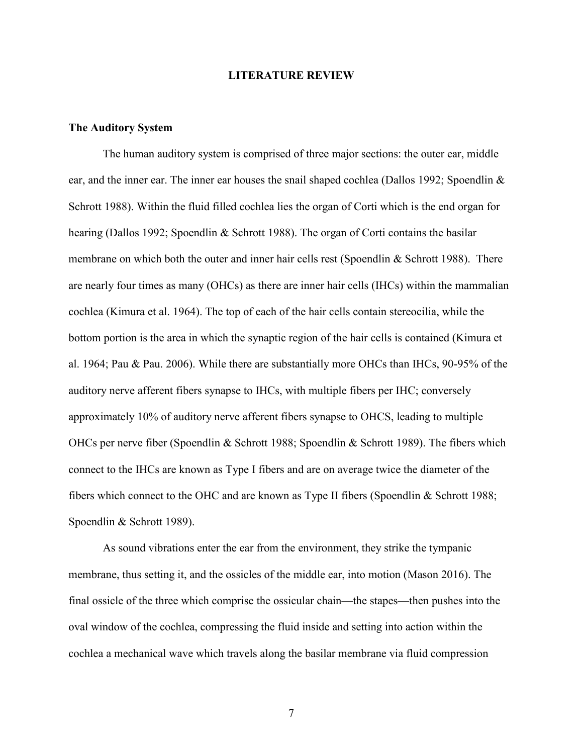### **LITERATURE REVIEW**

### **The Auditory System**

The human auditory system is comprised of three major sections: the outer ear, middle ear, and the inner ear. The inner ear houses the snail shaped cochlea (Dallos 1992; Spoendlin & Schrott 1988). Within the fluid filled cochlea lies the organ of Corti which is the end organ for hearing (Dallos 1992; Spoendlin & Schrott 1988). The organ of Corti contains the basilar membrane on which both the outer and inner hair cells rest (Spoendlin  $&$  Schrott 1988). There are nearly four times as many (OHCs) as there are inner hair cells (IHCs) within the mammalian cochlea (Kimura et al. 1964). The top of each of the hair cells contain stereocilia, while the bottom portion is the area in which the synaptic region of the hair cells is contained (Kimura et al. 1964; Pau & Pau. 2006). While there are substantially more OHCs than IHCs, 90-95% of the auditory nerve afferent fibers synapse to IHCs, with multiple fibers per IHC; conversely approximately 10% of auditory nerve afferent fibers synapse to OHCS, leading to multiple OHCs per nerve fiber (Spoendlin & Schrott 1988; Spoendlin & Schrott 1989). The fibers which connect to the IHCs are known as Type I fibers and are on average twice the diameter of the fibers which connect to the OHC and are known as Type II fibers (Spoendlin & Schrott 1988; Spoendlin & Schrott 1989).

As sound vibrations enter the ear from the environment, they strike the tympanic membrane, thus setting it, and the ossicles of the middle ear, into motion (Mason 2016). The final ossicle of the three which comprise the ossicular chain—the stapes—then pushes into the oval window of the cochlea, compressing the fluid inside and setting into action within the cochlea a mechanical wave which travels along the basilar membrane via fluid compression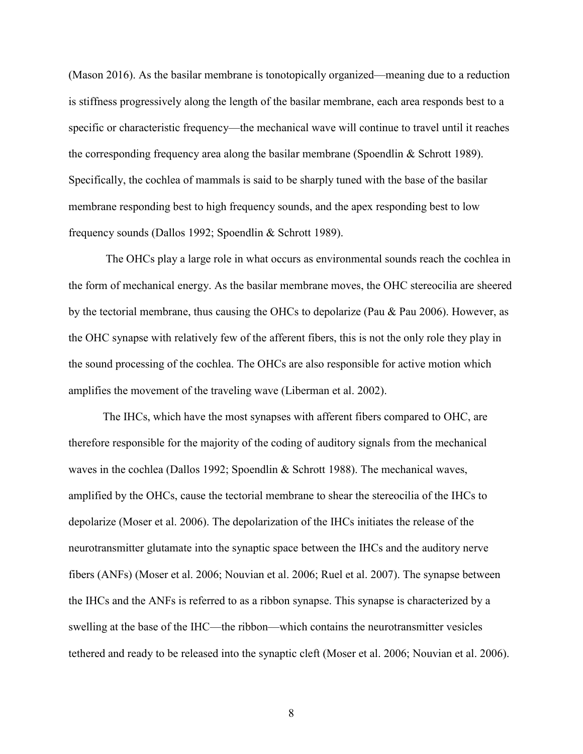(Mason 2016). As the basilar membrane is tonotopically organized—meaning due to a reduction is stiffness progressively along the length of the basilar membrane, each area responds best to a specific or characteristic frequency—the mechanical wave will continue to travel until it reaches the corresponding frequency area along the basilar membrane (Spoendlin & Schrott 1989). Specifically, the cochlea of mammals is said to be sharply tuned with the base of the basilar membrane responding best to high frequency sounds, and the apex responding best to low frequency sounds (Dallos 1992; Spoendlin & Schrott 1989).

The OHCs play a large role in what occurs as environmental sounds reach the cochlea in the form of mechanical energy. As the basilar membrane moves, the OHC stereocilia are sheered by the tectorial membrane, thus causing the OHCs to depolarize (Pau & Pau 2006). However, as the OHC synapse with relatively few of the afferent fibers, this is not the only role they play in the sound processing of the cochlea. The OHCs are also responsible for active motion which amplifies the movement of the traveling wave (Liberman et al. 2002).

The IHCs, which have the most synapses with afferent fibers compared to OHC, are therefore responsible for the majority of the coding of auditory signals from the mechanical waves in the cochlea (Dallos 1992; Spoendlin & Schrott 1988). The mechanical waves, amplified by the OHCs, cause the tectorial membrane to shear the stereocilia of the IHCs to depolarize (Moser et al. 2006). The depolarization of the IHCs initiates the release of the neurotransmitter glutamate into the synaptic space between the IHCs and the auditory nerve fibers (ANFs) (Moser et al. 2006; Nouvian et al. 2006; Ruel et al. 2007). The synapse between the IHCs and the ANFs is referred to as a ribbon synapse. This synapse is characterized by a swelling at the base of the IHC—the ribbon—which contains the neurotransmitter vesicles tethered and ready to be released into the synaptic cleft (Moser et al. 2006; Nouvian et al. 2006).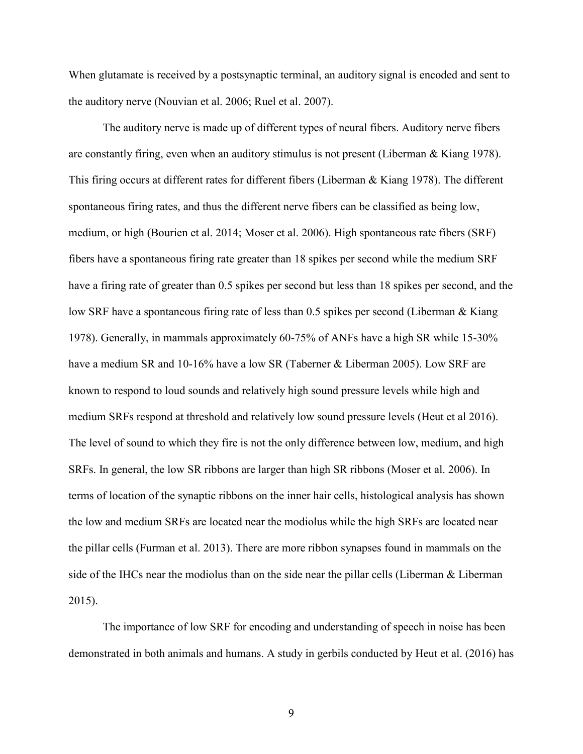When glutamate is received by a postsynaptic terminal, an auditory signal is encoded and sent to the auditory nerve (Nouvian et al. 2006; Ruel et al. 2007).

The auditory nerve is made up of different types of neural fibers. Auditory nerve fibers are constantly firing, even when an auditory stimulus is not present (Liberman & Kiang 1978). This firing occurs at different rates for different fibers (Liberman & Kiang 1978). The different spontaneous firing rates, and thus the different nerve fibers can be classified as being low, medium, or high (Bourien et al. 2014; Moser et al. 2006). High spontaneous rate fibers (SRF) fibers have a spontaneous firing rate greater than 18 spikes per second while the medium SRF have a firing rate of greater than 0.5 spikes per second but less than 18 spikes per second, and the low SRF have a spontaneous firing rate of less than 0.5 spikes per second (Liberman & Kiang 1978). Generally, in mammals approximately 60-75% of ANFs have a high SR while 15-30% have a medium SR and 10-16% have a low SR (Taberner & Liberman 2005). Low SRF are known to respond to loud sounds and relatively high sound pressure levels while high and medium SRFs respond at threshold and relatively low sound pressure levels (Heut et al 2016). The level of sound to which they fire is not the only difference between low, medium, and high SRFs. In general, the low SR ribbons are larger than high SR ribbons (Moser et al. 2006). In terms of location of the synaptic ribbons on the inner hair cells, histological analysis has shown the low and medium SRFs are located near the modiolus while the high SRFs are located near the pillar cells (Furman et al. 2013). There are more ribbon synapses found in mammals on the side of the IHCs near the modiolus than on the side near the pillar cells (Liberman & Liberman 2015).

The importance of low SRF for encoding and understanding of speech in noise has been demonstrated in both animals and humans. A study in gerbils conducted by Heut et al. (2016) has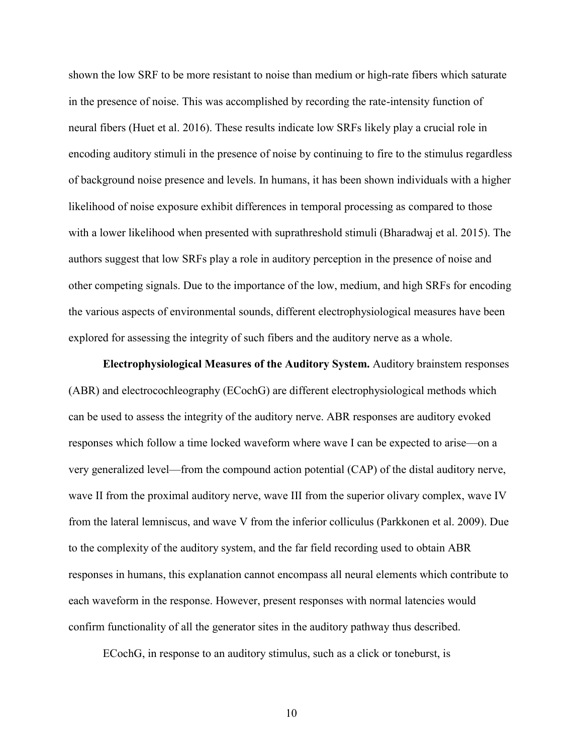shown the low SRF to be more resistant to noise than medium or high-rate fibers which saturate in the presence of noise. This was accomplished by recording the rate-intensity function of neural fibers (Huet et al. 2016). These results indicate low SRFs likely play a crucial role in encoding auditory stimuli in the presence of noise by continuing to fire to the stimulus regardless of background noise presence and levels. In humans, it has been shown individuals with a higher likelihood of noise exposure exhibit differences in temporal processing as compared to those with a lower likelihood when presented with suprathreshold stimuli (Bharadwaj et al. 2015). The authors suggest that low SRFs play a role in auditory perception in the presence of noise and other competing signals. Due to the importance of the low, medium, and high SRFs for encoding the various aspects of environmental sounds, different electrophysiological measures have been explored for assessing the integrity of such fibers and the auditory nerve as a whole.

**Electrophysiological Measures of the Auditory System.** Auditory brainstem responses (ABR) and electrocochleography (ECochG) are different electrophysiological methods which can be used to assess the integrity of the auditory nerve. ABR responses are auditory evoked responses which follow a time locked waveform where wave I can be expected to arise—on a very generalized level—from the compound action potential (CAP) of the distal auditory nerve, wave II from the proximal auditory nerve, wave III from the superior olivary complex, wave IV from the lateral lemniscus, and wave V from the inferior colliculus (Parkkonen et al. 2009). Due to the complexity of the auditory system, and the far field recording used to obtain ABR responses in humans, this explanation cannot encompass all neural elements which contribute to each waveform in the response. However, present responses with normal latencies would confirm functionality of all the generator sites in the auditory pathway thus described.

ECochG, in response to an auditory stimulus, such as a click or toneburst, is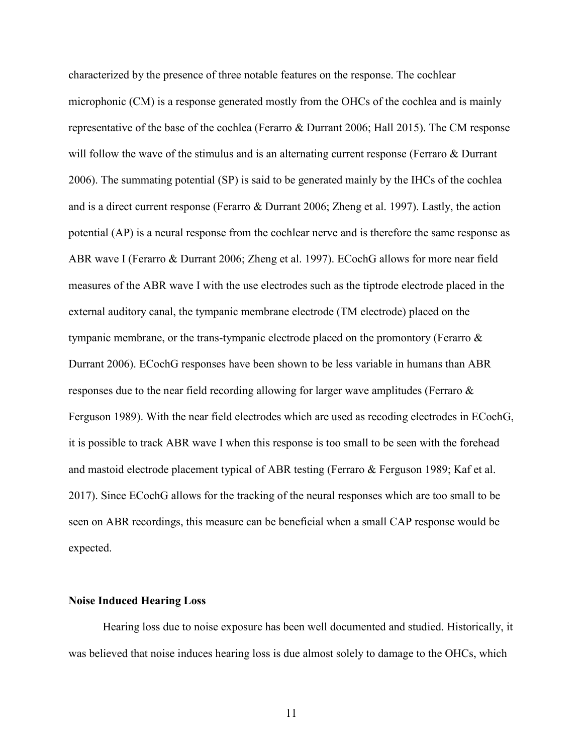characterized by the presence of three notable features on the response. The cochlear microphonic (CM) is a response generated mostly from the OHCs of the cochlea and is mainly representative of the base of the cochlea (Ferarro & Durrant 2006; Hall 2015). The CM response will follow the wave of the stimulus and is an alternating current response (Ferraro & Durrant 2006). The summating potential (SP) is said to be generated mainly by the IHCs of the cochlea and is a direct current response (Ferarro & Durrant 2006; Zheng et al. 1997). Lastly, the action potential (AP) is a neural response from the cochlear nerve and is therefore the same response as ABR wave I (Ferarro & Durrant 2006; Zheng et al. 1997). ECochG allows for more near field measures of the ABR wave I with the use electrodes such as the tiptrode electrode placed in the external auditory canal, the tympanic membrane electrode (TM electrode) placed on the tympanic membrane, or the trans-tympanic electrode placed on the promontory (Ferarro & Durrant 2006). ECochG responses have been shown to be less variable in humans than ABR responses due to the near field recording allowing for larger wave amplitudes (Ferraro & Ferguson 1989). With the near field electrodes which are used as recoding electrodes in ECochG, it is possible to track ABR wave I when this response is too small to be seen with the forehead and mastoid electrode placement typical of ABR testing (Ferraro & Ferguson 1989; Kaf et al. 2017). Since ECochG allows for the tracking of the neural responses which are too small to be seen on ABR recordings, this measure can be beneficial when a small CAP response would be expected.

#### **Noise Induced Hearing Loss**

Hearing loss due to noise exposure has been well documented and studied. Historically, it was believed that noise induces hearing loss is due almost solely to damage to the OHCs, which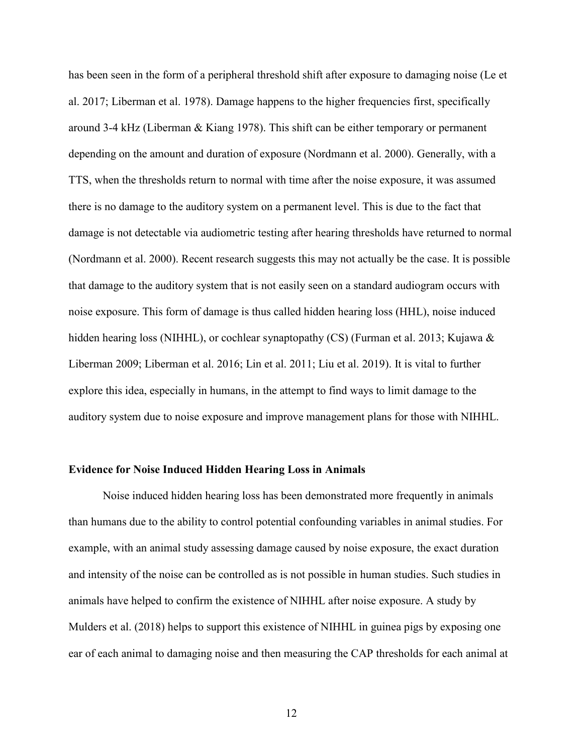has been seen in the form of a peripheral threshold shift after exposure to damaging noise (Le et al. 2017; Liberman et al. 1978). Damage happens to the higher frequencies first, specifically around 3-4 kHz (Liberman & Kiang 1978). This shift can be either temporary or permanent depending on the amount and duration of exposure (Nordmann et al. 2000). Generally, with a TTS, when the thresholds return to normal with time after the noise exposure, it was assumed there is no damage to the auditory system on a permanent level. This is due to the fact that damage is not detectable via audiometric testing after hearing thresholds have returned to normal (Nordmann et al. 2000). Recent research suggests this may not actually be the case. It is possible that damage to the auditory system that is not easily seen on a standard audiogram occurs with noise exposure. This form of damage is thus called hidden hearing loss (HHL), noise induced hidden hearing loss (NIHHL), or cochlear synaptopathy (CS) (Furman et al. 2013; Kujawa & Liberman 2009; Liberman et al. 2016; Lin et al. 2011; Liu et al. 2019). It is vital to further explore this idea, especially in humans, in the attempt to find ways to limit damage to the auditory system due to noise exposure and improve management plans for those with NIHHL.

### **Evidence for Noise Induced Hidden Hearing Loss in Animals**

Noise induced hidden hearing loss has been demonstrated more frequently in animals than humans due to the ability to control potential confounding variables in animal studies. For example, with an animal study assessing damage caused by noise exposure, the exact duration and intensity of the noise can be controlled as is not possible in human studies. Such studies in animals have helped to confirm the existence of NIHHL after noise exposure. A study by Mulders et al. (2018) helps to support this existence of NIHHL in guinea pigs by exposing one ear of each animal to damaging noise and then measuring the CAP thresholds for each animal at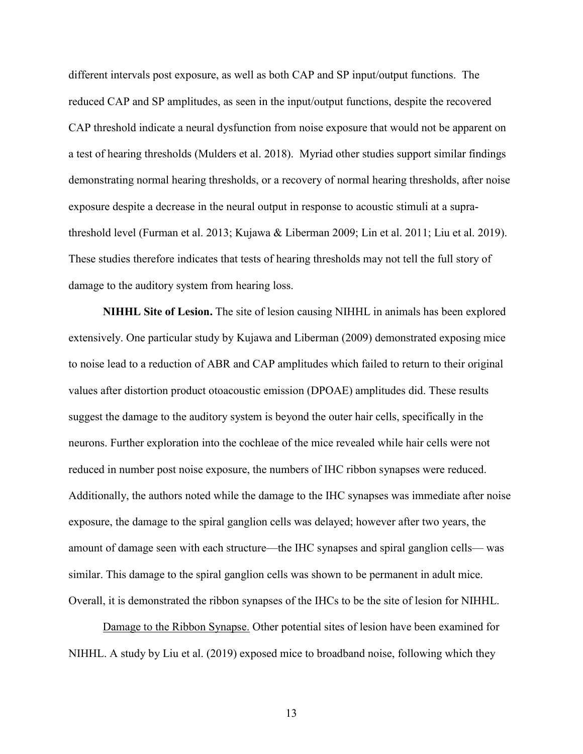different intervals post exposure, as well as both CAP and SP input/output functions. The reduced CAP and SP amplitudes, as seen in the input/output functions, despite the recovered CAP threshold indicate a neural dysfunction from noise exposure that would not be apparent on a test of hearing thresholds (Mulders et al. 2018). Myriad other studies support similar findings demonstrating normal hearing thresholds, or a recovery of normal hearing thresholds, after noise exposure despite a decrease in the neural output in response to acoustic stimuli at a suprathreshold level (Furman et al. 2013; Kujawa & Liberman 2009; Lin et al. 2011; Liu et al. 2019). These studies therefore indicates that tests of hearing thresholds may not tell the full story of damage to the auditory system from hearing loss.

**NIHHL Site of Lesion.** The site of lesion causing NIHHL in animals has been explored extensively. One particular study by Kujawa and Liberman (2009) demonstrated exposing mice to noise lead to a reduction of ABR and CAP amplitudes which failed to return to their original values after distortion product otoacoustic emission (DPOAE) amplitudes did. These results suggest the damage to the auditory system is beyond the outer hair cells, specifically in the neurons. Further exploration into the cochleae of the mice revealed while hair cells were not reduced in number post noise exposure, the numbers of IHC ribbon synapses were reduced. Additionally, the authors noted while the damage to the IHC synapses was immediate after noise exposure, the damage to the spiral ganglion cells was delayed; however after two years, the amount of damage seen with each structure—the IHC synapses and spiral ganglion cells— was similar. This damage to the spiral ganglion cells was shown to be permanent in adult mice. Overall, it is demonstrated the ribbon synapses of the IHCs to be the site of lesion for NIHHL.

Damage to the Ribbon Synapse. Other potential sites of lesion have been examined for NIHHL. A study by Liu et al. (2019) exposed mice to broadband noise, following which they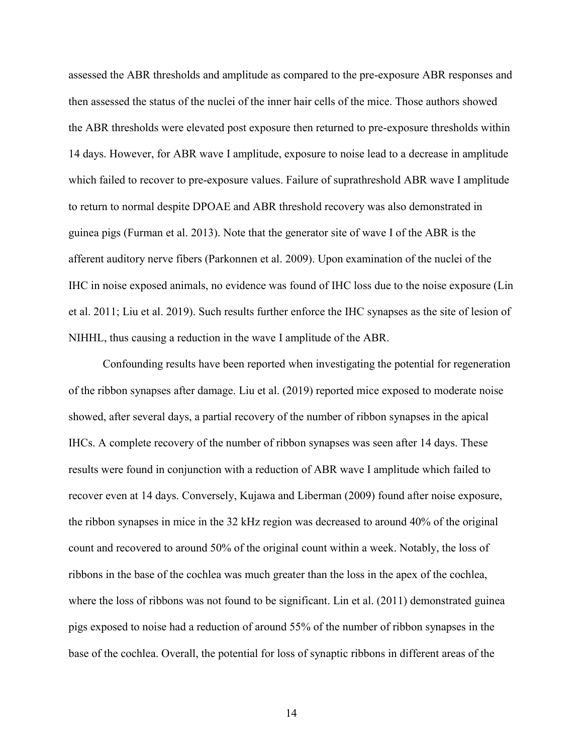assessed the ABR thresholds and amplitude as compared to the pre-exposure ABR responses and then assessed the status of the nuclei of the inner hair cells of the mice. Those authors showed the ABR thresholds were elevated post exposure then returned to pre-exposure thresholds within 14 days. However, for ABR wave I amplitude, exposure to noise lead to a decrease in amplitude which failed to recover to pre-exposure values. Failure of suprathreshold ABR wave I amplitude to return to normal despite DPOAE and ABR threshold recovery was also demonstrated in guinea pigs (Furman et al. 2013). Note that the generator site of wave I of the ABR is the afferent auditory nerve fibers (Parkonnen et al. 2009). Upon examination of the nuclei of the IHC in noise exposed animals, no evidence was found of IHC loss due to the noise exposure (Lin et al. 2011; Liu et al. 2019). Such results further enforce the IHC synapses as the site of lesion of NIHHL, thus causing a reduction in the wave I amplitude of the ABR.

Confounding results have been reported when investigating the potential for regeneration of the ribbon synapses after damage. Liu et al. (2019) reported mice exposed to moderate noise showed, after several days, a partial recovery of the number of ribbon synapses in the apical IHCs. A complete recovery of the number of ribbon synapses was seen after 14 days. These results were found in conjunction with a reduction of ABR wave I amplitude which failed to recover even at 14 days. Conversely, Kujawa and Liberman (2009) found after noise exposure, the ribbon synapses in mice in the 32 kHz region was decreased to around 40% of the original count and recovered to around 50% of the original count within a week. Notably, the loss of ribbons in the base of the cochlea was much greater than the loss in the apex of the cochlea, where the loss of ribbons was not found to be significant. Lin et al. (2011) demonstrated guinearly pigs exposed to noise had a reduction of around 55% of the number of ribbon synapses in the base of the cochlea. Overall, the potential for loss of synaptic ribbons in different areas of the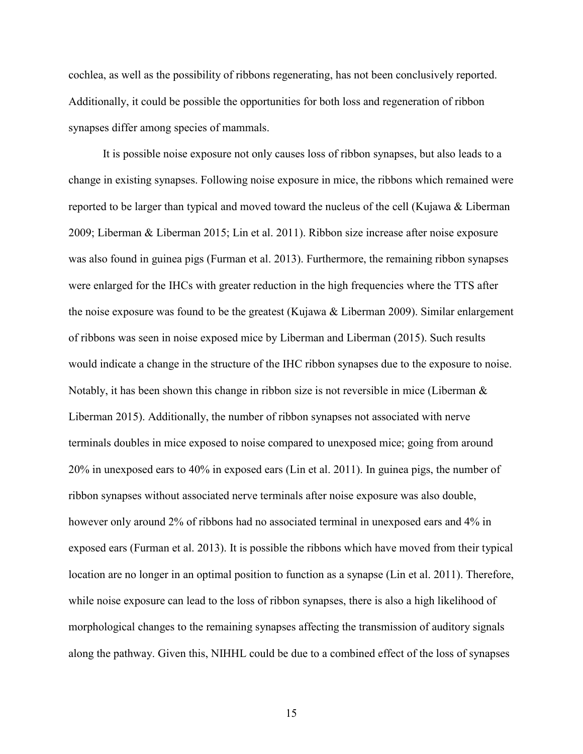cochlea, as well as the possibility of ribbons regenerating, has not been conclusively reported. Additionally, it could be possible the opportunities for both loss and regeneration of ribbon synapses differ among species of mammals.

It is possible noise exposure not only causes loss of ribbon synapses, but also leads to a change in existing synapses. Following noise exposure in mice, the ribbons which remained were reported to be larger than typical and moved toward the nucleus of the cell (Kujawa & Liberman 2009; Liberman & Liberman 2015; Lin et al. 2011). Ribbon size increase after noise exposure was also found in guinea pigs (Furman et al. 2013). Furthermore, the remaining ribbon synapses were enlarged for the IHCs with greater reduction in the high frequencies where the TTS after the noise exposure was found to be the greatest (Kujawa  $\&$  Liberman 2009). Similar enlargement of ribbons was seen in noise exposed mice by Liberman and Liberman (2015). Such results would indicate a change in the structure of the IHC ribbon synapses due to the exposure to noise. Notably, it has been shown this change in ribbon size is not reversible in mice (Liberman & Liberman 2015). Additionally, the number of ribbon synapses not associated with nerve terminals doubles in mice exposed to noise compared to unexposed mice; going from around 20% in unexposed ears to 40% in exposed ears (Lin et al. 2011). In guinea pigs, the number of ribbon synapses without associated nerve terminals after noise exposure was also double, however only around 2% of ribbons had no associated terminal in unexposed ears and 4% in exposed ears (Furman et al. 2013). It is possible the ribbons which have moved from their typical location are no longer in an optimal position to function as a synapse (Lin et al. 2011). Therefore, while noise exposure can lead to the loss of ribbon synapses, there is also a high likelihood of morphological changes to the remaining synapses affecting the transmission of auditory signals along the pathway. Given this, NIHHL could be due to a combined effect of the loss of synapses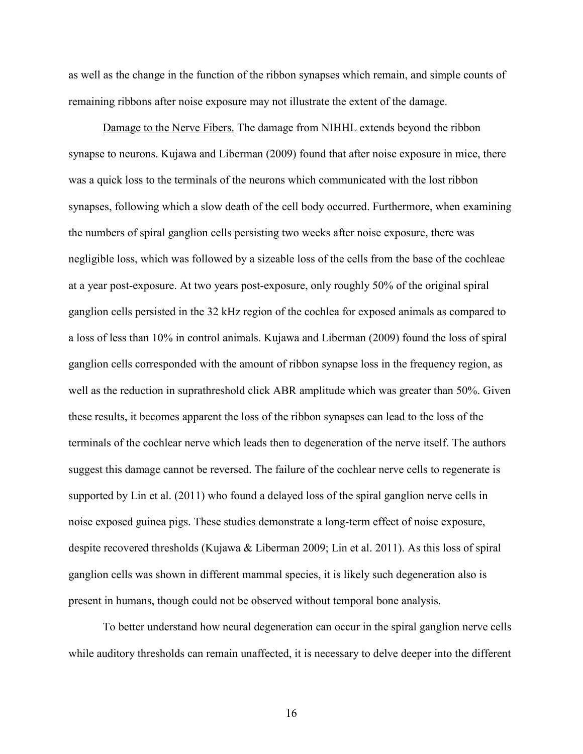as well as the change in the function of the ribbon synapses which remain, and simple counts of remaining ribbons after noise exposure may not illustrate the extent of the damage.

Damage to the Nerve Fibers. The damage from NIHHL extends beyond the ribbon synapse to neurons. Kujawa and Liberman (2009) found that after noise exposure in mice, there was a quick loss to the terminals of the neurons which communicated with the lost ribbon synapses, following which a slow death of the cell body occurred. Furthermore, when examining the numbers of spiral ganglion cells persisting two weeks after noise exposure, there was negligible loss, which was followed by a sizeable loss of the cells from the base of the cochleae at a year post-exposure. At two years post-exposure, only roughly 50% of the original spiral ganglion cells persisted in the 32 kHz region of the cochlea for exposed animals as compared to a loss of less than 10% in control animals. Kujawa and Liberman (2009) found the loss of spiral ganglion cells corresponded with the amount of ribbon synapse loss in the frequency region, as well as the reduction in suprathreshold click ABR amplitude which was greater than 50%. Given these results, it becomes apparent the loss of the ribbon synapses can lead to the loss of the terminals of the cochlear nerve which leads then to degeneration of the nerve itself. The authors suggest this damage cannot be reversed. The failure of the cochlear nerve cells to regenerate is supported by Lin et al. (2011) who found a delayed loss of the spiral ganglion nerve cells in noise exposed guinea pigs. These studies demonstrate a long-term effect of noise exposure, despite recovered thresholds (Kujawa & Liberman 2009; Lin et al. 2011). As this loss of spiral ganglion cells was shown in different mammal species, it is likely such degeneration also is present in humans, though could not be observed without temporal bone analysis.

To better understand how neural degeneration can occur in the spiral ganglion nerve cells while auditory thresholds can remain unaffected, it is necessary to delve deeper into the different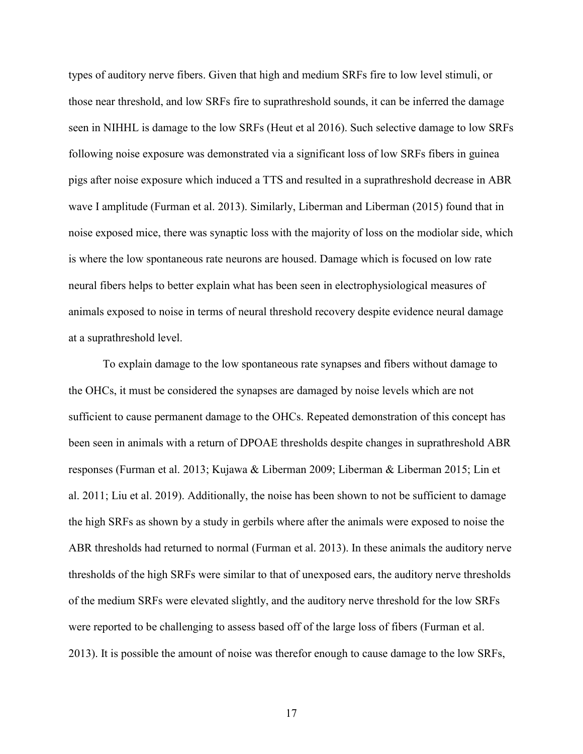types of auditory nerve fibers. Given that high and medium SRFs fire to low level stimuli, or those near threshold, and low SRFs fire to suprathreshold sounds, it can be inferred the damage seen in NIHHL is damage to the low SRFs (Heut et al 2016). Such selective damage to low SRFs following noise exposure was demonstrated via a significant loss of low SRFs fibers in guinea pigs after noise exposure which induced a TTS and resulted in a suprathreshold decrease in ABR wave I amplitude (Furman et al. 2013). Similarly, Liberman and Liberman (2015) found that in noise exposed mice, there was synaptic loss with the majority of loss on the modiolar side, which is where the low spontaneous rate neurons are housed. Damage which is focused on low rate neural fibers helps to better explain what has been seen in electrophysiological measures of animals exposed to noise in terms of neural threshold recovery despite evidence neural damage at a suprathreshold level.

To explain damage to the low spontaneous rate synapses and fibers without damage to the OHCs, it must be considered the synapses are damaged by noise levels which are not sufficient to cause permanent damage to the OHCs. Repeated demonstration of this concept has been seen in animals with a return of DPOAE thresholds despite changes in suprathreshold ABR responses (Furman et al. 2013; Kujawa & Liberman 2009; Liberman & Liberman 2015; Lin et al. 2011; Liu et al. 2019). Additionally, the noise has been shown to not be sufficient to damage the high SRFs as shown by a study in gerbils where after the animals were exposed to noise the ABR thresholds had returned to normal (Furman et al. 2013). In these animals the auditory nerve thresholds of the high SRFs were similar to that of unexposed ears, the auditory nerve thresholds of the medium SRFs were elevated slightly, and the auditory nerve threshold for the low SRFs were reported to be challenging to assess based off of the large loss of fibers (Furman et al. 2013). It is possible the amount of noise was therefor enough to cause damage to the low SRFs,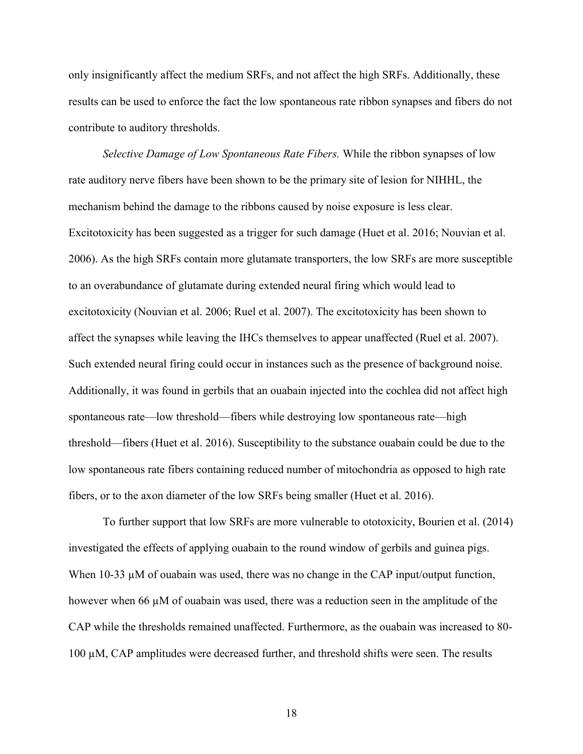only insignificantly affect the medium SRFs, and not affect the high SRFs. Additionally, these results can be used to enforce the fact the low spontaneous rate ribbon synapses and fibers do not contribute to auditory thresholds.

*Selective Damage of Low Spontaneous Rate Fibers.* While the ribbon synapses of low rate auditory nerve fibers have been shown to be the primary site of lesion for NIHHL, the mechanism behind the damage to the ribbons caused by noise exposure is less clear. Excitotoxicity has been suggested as a trigger for such damage (Huet et al. 2016; Nouvian et al. 2006). As the high SRFs contain more glutamate transporters, the low SRFs are more susceptible to an overabundance of glutamate during extended neural firing which would lead to excitotoxicity (Nouvian et al. 2006; Ruel et al. 2007). The excitotoxicity has been shown to affect the synapses while leaving the IHCs themselves to appear unaffected (Ruel et al. 2007). Such extended neural firing could occur in instances such as the presence of background noise. Additionally, it was found in gerbils that an ouabain injected into the cochlea did not affect high spontaneous rate—low threshold—fibers while destroying low spontaneous rate—high threshold—fibers (Huet et al. 2016). Susceptibility to the substance ouabain could be due to the low spontaneous rate fibers containing reduced number of mitochondria as opposed to high rate fibers, or to the axon diameter of the low SRFs being smaller (Huet et al. 2016).

To further support that low SRFs are more vulnerable to ototoxicity, Bourien et al. (2014) investigated the effects of applying ouabain to the round window of gerbils and guinea pigs. When  $10-33 \mu M$  of ouabain was used, there was no change in the CAP input/output function, however when 66  $\mu$ M of ouabain was used, there was a reduction seen in the amplitude of the CAP while the thresholds remained unaffected. Furthermore, as the ouabain was increased to 80- 100 µM, CAP amplitudes were decreased further, and threshold shifts were seen. The results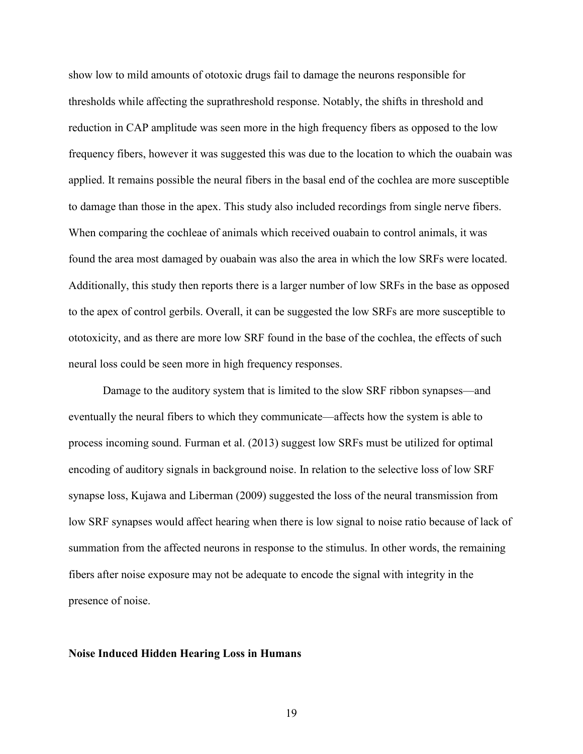show low to mild amounts of ototoxic drugs fail to damage the neurons responsible for thresholds while affecting the suprathreshold response. Notably, the shifts in threshold and reduction in CAP amplitude was seen more in the high frequency fibers as opposed to the low frequency fibers, however it was suggested this was due to the location to which the ouabain was applied. It remains possible the neural fibers in the basal end of the cochlea are more susceptible to damage than those in the apex. This study also included recordings from single nerve fibers. When comparing the cochleae of animals which received ouabain to control animals, it was found the area most damaged by ouabain was also the area in which the low SRFs were located. Additionally, this study then reports there is a larger number of low SRFs in the base as opposed to the apex of control gerbils. Overall, it can be suggested the low SRFs are more susceptible to ototoxicity, and as there are more low SRF found in the base of the cochlea, the effects of such neural loss could be seen more in high frequency responses.

Damage to the auditory system that is limited to the slow SRF ribbon synapses—and eventually the neural fibers to which they communicate—affects how the system is able to process incoming sound. Furman et al. (2013) suggest low SRFs must be utilized for optimal encoding of auditory signals in background noise. In relation to the selective loss of low SRF synapse loss, Kujawa and Liberman (2009) suggested the loss of the neural transmission from low SRF synapses would affect hearing when there is low signal to noise ratio because of lack of summation from the affected neurons in response to the stimulus. In other words, the remaining fibers after noise exposure may not be adequate to encode the signal with integrity in the presence of noise.

#### **Noise Induced Hidden Hearing Loss in Humans**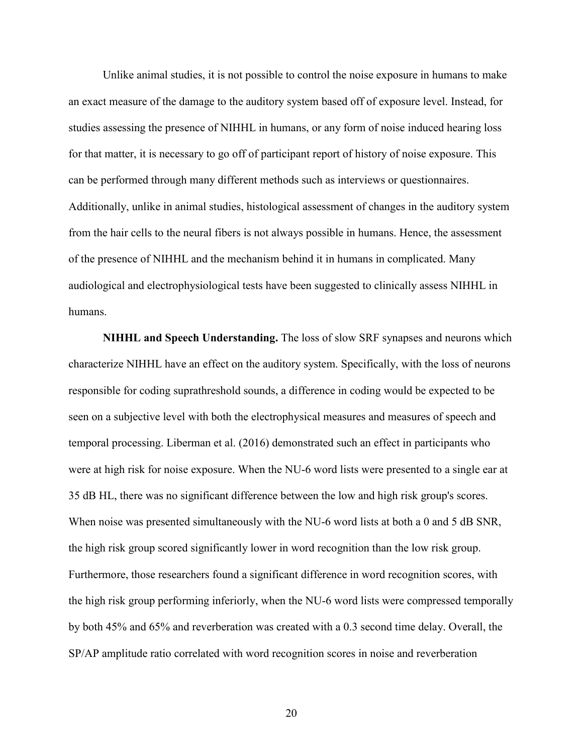Unlike animal studies, it is not possible to control the noise exposure in humans to make an exact measure of the damage to the auditory system based off of exposure level. Instead, for studies assessing the presence of NIHHL in humans, or any form of noise induced hearing loss for that matter, it is necessary to go off of participant report of history of noise exposure. This can be performed through many different methods such as interviews or questionnaires. Additionally, unlike in animal studies, histological assessment of changes in the auditory system from the hair cells to the neural fibers is not always possible in humans. Hence, the assessment of the presence of NIHHL and the mechanism behind it in humans in complicated. Many audiological and electrophysiological tests have been suggested to clinically assess NIHHL in humans.

**NIHHL and Speech Understanding.** The loss of slow SRF synapses and neurons which characterize NIHHL have an effect on the auditory system. Specifically, with the loss of neurons responsible for coding suprathreshold sounds, a difference in coding would be expected to be seen on a subjective level with both the electrophysical measures and measures of speech and temporal processing. Liberman et al. (2016) demonstrated such an effect in participants who were at high risk for noise exposure. When the NU-6 word lists were presented to a single ear at 35 dB HL, there was no significant difference between the low and high risk group's scores. When noise was presented simultaneously with the NU-6 word lists at both a 0 and 5 dB SNR, the high risk group scored significantly lower in word recognition than the low risk group. Furthermore, those researchers found a significant difference in word recognition scores, with the high risk group performing inferiorly, when the NU-6 word lists were compressed temporally by both 45% and 65% and reverberation was created with a 0.3 second time delay. Overall, the SP/AP amplitude ratio correlated with word recognition scores in noise and reverberation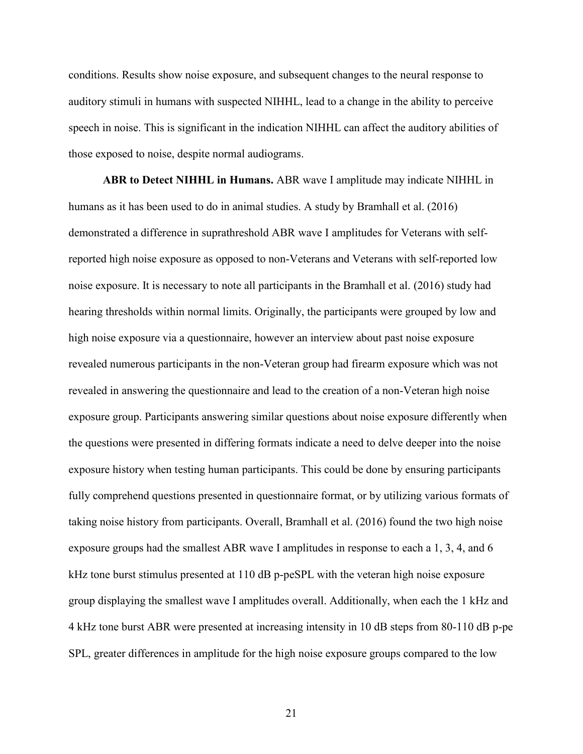conditions. Results show noise exposure, and subsequent changes to the neural response to auditory stimuli in humans with suspected NIHHL, lead to a change in the ability to perceive speech in noise. This is significant in the indication NIHHL can affect the auditory abilities of those exposed to noise, despite normal audiograms.

**ABR to Detect NIHHL in Humans.** ABR wave I amplitude may indicate NIHHL in humans as it has been used to do in animal studies. A study by Bramhall et al. (2016) demonstrated a difference in suprathreshold ABR wave I amplitudes for Veterans with selfreported high noise exposure as opposed to non-Veterans and Veterans with self-reported low noise exposure. It is necessary to note all participants in the Bramhall et al. (2016) study had hearing thresholds within normal limits. Originally, the participants were grouped by low and high noise exposure via a questionnaire, however an interview about past noise exposure revealed numerous participants in the non-Veteran group had firearm exposure which was not revealed in answering the questionnaire and lead to the creation of a non-Veteran high noise exposure group. Participants answering similar questions about noise exposure differently when the questions were presented in differing formats indicate a need to delve deeper into the noise exposure history when testing human participants. This could be done by ensuring participants fully comprehend questions presented in questionnaire format, or by utilizing various formats of taking noise history from participants. Overall, Bramhall et al. (2016) found the two high noise exposure groups had the smallest ABR wave I amplitudes in response to each a 1, 3, 4, and 6 kHz tone burst stimulus presented at 110 dB p-peSPL with the veteran high noise exposure group displaying the smallest wave I amplitudes overall. Additionally, when each the 1 kHz and 4 kHz tone burst ABR were presented at increasing intensity in 10 dB steps from 80-110 dB p-pe SPL, greater differences in amplitude for the high noise exposure groups compared to the low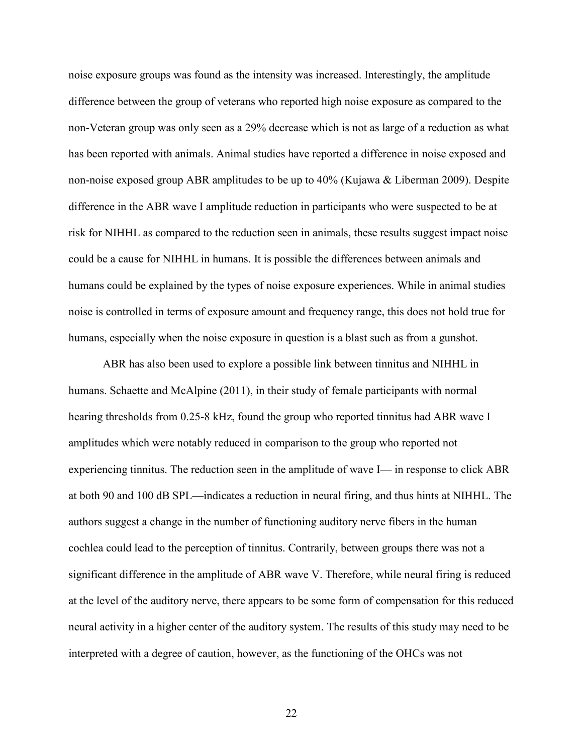noise exposure groups was found as the intensity was increased. Interestingly, the amplitude difference between the group of veterans who reported high noise exposure as compared to the non-Veteran group was only seen as a 29% decrease which is not as large of a reduction as what has been reported with animals. Animal studies have reported a difference in noise exposed and non-noise exposed group ABR amplitudes to be up to 40% (Kujawa & Liberman 2009). Despite difference in the ABR wave I amplitude reduction in participants who were suspected to be at risk for NIHHL as compared to the reduction seen in animals, these results suggest impact noise could be a cause for NIHHL in humans. It is possible the differences between animals and humans could be explained by the types of noise exposure experiences. While in animal studies noise is controlled in terms of exposure amount and frequency range, this does not hold true for humans, especially when the noise exposure in question is a blast such as from a gunshot.

ABR has also been used to explore a possible link between tinnitus and NIHHL in humans. Schaette and McAlpine (2011), in their study of female participants with normal hearing thresholds from 0.25-8 kHz, found the group who reported tinnitus had ABR wave I amplitudes which were notably reduced in comparison to the group who reported not experiencing tinnitus. The reduction seen in the amplitude of wave I— in response to click ABR at both 90 and 100 dB SPL—indicates a reduction in neural firing, and thus hints at NIHHL. The authors suggest a change in the number of functioning auditory nerve fibers in the human cochlea could lead to the perception of tinnitus. Contrarily, between groups there was not a significant difference in the amplitude of ABR wave V. Therefore, while neural firing is reduced at the level of the auditory nerve, there appears to be some form of compensation for this reduced neural activity in a higher center of the auditory system. The results of this study may need to be interpreted with a degree of caution, however, as the functioning of the OHCs was not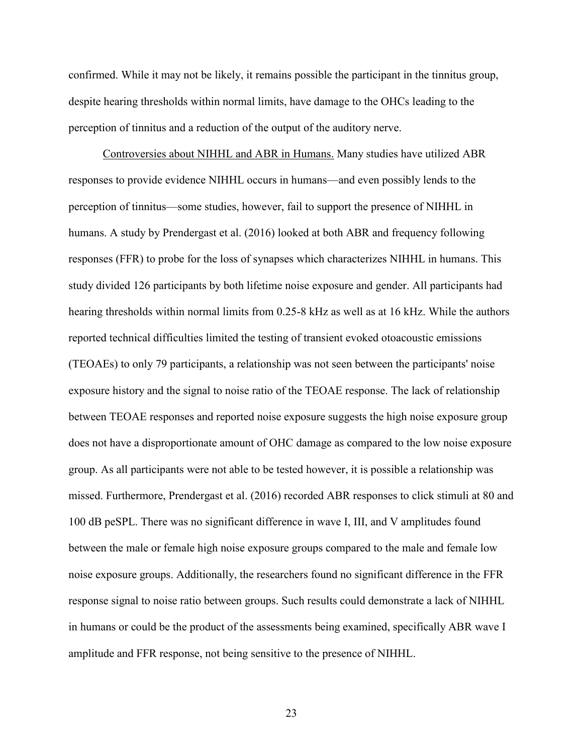confirmed. While it may not be likely, it remains possible the participant in the tinnitus group, despite hearing thresholds within normal limits, have damage to the OHCs leading to the perception of tinnitus and a reduction of the output of the auditory nerve.

Controversies about NIHHL and ABR in Humans. Many studies have utilized ABR responses to provide evidence NIHHL occurs in humans—and even possibly lends to the perception of tinnitus—some studies, however, fail to support the presence of NIHHL in humans. A study by Prendergast et al. (2016) looked at both ABR and frequency following responses (FFR) to probe for the loss of synapses which characterizes NIHHL in humans. This study divided 126 participants by both lifetime noise exposure and gender. All participants had hearing thresholds within normal limits from 0.25-8 kHz as well as at 16 kHz. While the authors reported technical difficulties limited the testing of transient evoked otoacoustic emissions (TEOAEs) to only 79 participants, a relationship was not seen between the participants' noise exposure history and the signal to noise ratio of the TEOAE response. The lack of relationship between TEOAE responses and reported noise exposure suggests the high noise exposure group does not have a disproportionate amount of OHC damage as compared to the low noise exposure group. As all participants were not able to be tested however, it is possible a relationship was missed. Furthermore, Prendergast et al. (2016) recorded ABR responses to click stimuli at 80 and 100 dB peSPL. There was no significant difference in wave I, III, and V amplitudes found between the male or female high noise exposure groups compared to the male and female low noise exposure groups. Additionally, the researchers found no significant difference in the FFR response signal to noise ratio between groups. Such results could demonstrate a lack of NIHHL in humans or could be the product of the assessments being examined, specifically ABR wave I amplitude and FFR response, not being sensitive to the presence of NIHHL.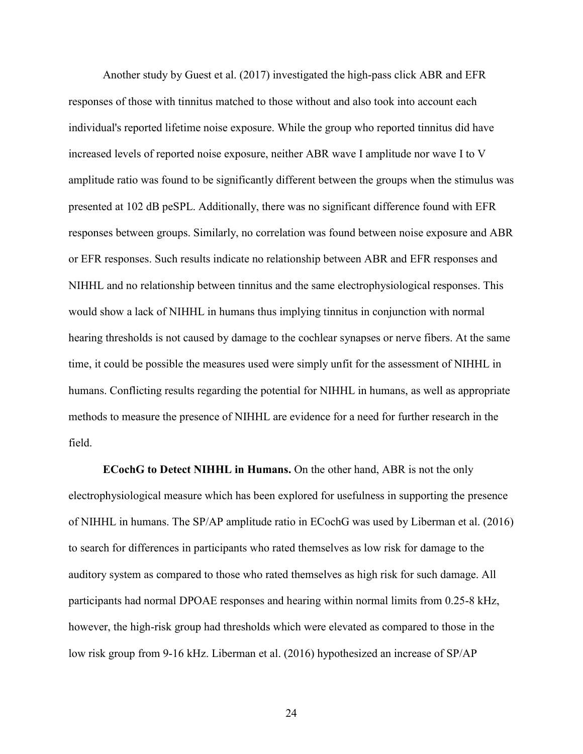Another study by Guest et al. (2017) investigated the high-pass click ABR and EFR responses of those with tinnitus matched to those without and also took into account each individual's reported lifetime noise exposure. While the group who reported tinnitus did have increased levels of reported noise exposure, neither ABR wave I amplitude nor wave I to V amplitude ratio was found to be significantly different between the groups when the stimulus was presented at 102 dB peSPL. Additionally, there was no significant difference found with EFR responses between groups. Similarly, no correlation was found between noise exposure and ABR or EFR responses. Such results indicate no relationship between ABR and EFR responses and NIHHL and no relationship between tinnitus and the same electrophysiological responses. This would show a lack of NIHHL in humans thus implying tinnitus in conjunction with normal hearing thresholds is not caused by damage to the cochlear synapses or nerve fibers. At the same time, it could be possible the measures used were simply unfit for the assessment of NIHHL in humans. Conflicting results regarding the potential for NIHHL in humans, as well as appropriate methods to measure the presence of NIHHL are evidence for a need for further research in the field.

**ECochG to Detect NIHHL in Humans.** On the other hand, ABR is not the only electrophysiological measure which has been explored for usefulness in supporting the presence of NIHHL in humans. The SP/AP amplitude ratio in ECochG was used by Liberman et al. (2016) to search for differences in participants who rated themselves as low risk for damage to the auditory system as compared to those who rated themselves as high risk for such damage. All participants had normal DPOAE responses and hearing within normal limits from 0.25-8 kHz, however, the high-risk group had thresholds which were elevated as compared to those in the low risk group from 9-16 kHz. Liberman et al. (2016) hypothesized an increase of SP/AP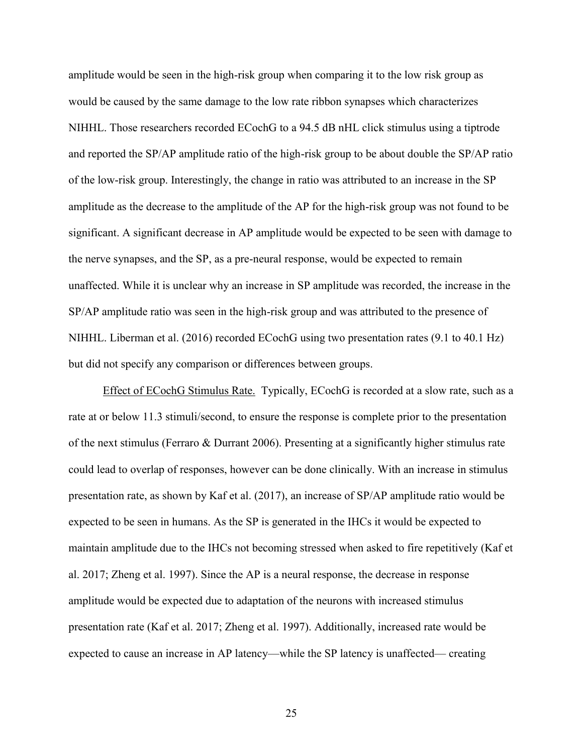amplitude would be seen in the high-risk group when comparing it to the low risk group as would be caused by the same damage to the low rate ribbon synapses which characterizes NIHHL. Those researchers recorded ECochG to a 94.5 dB nHL click stimulus using a tiptrode and reported the SP/AP amplitude ratio of the high-risk group to be about double the SP/AP ratio of the low-risk group. Interestingly, the change in ratio was attributed to an increase in the SP amplitude as the decrease to the amplitude of the AP for the high-risk group was not found to be significant. A significant decrease in AP amplitude would be expected to be seen with damage to the nerve synapses, and the SP, as a pre-neural response, would be expected to remain unaffected. While it is unclear why an increase in SP amplitude was recorded, the increase in the SP/AP amplitude ratio was seen in the high-risk group and was attributed to the presence of NIHHL. Liberman et al. (2016) recorded ECochG using two presentation rates (9.1 to 40.1 Hz) but did not specify any comparison or differences between groups.

Effect of ECochG Stimulus Rate.Typically, ECochG is recorded at a slow rate, such as a rate at or below 11.3 stimuli/second, to ensure the response is complete prior to the presentation of the next stimulus (Ferraro & Durrant 2006). Presenting at a significantly higher stimulus rate could lead to overlap of responses, however can be done clinically. With an increase in stimulus presentation rate, as shown by Kaf et al. (2017), an increase of SP/AP amplitude ratio would be expected to be seen in humans. As the SP is generated in the IHCs it would be expected to maintain amplitude due to the IHCs not becoming stressed when asked to fire repetitively (Kaf et al. 2017; Zheng et al. 1997). Since the AP is a neural response, the decrease in response amplitude would be expected due to adaptation of the neurons with increased stimulus presentation rate (Kaf et al. 2017; Zheng et al. 1997). Additionally, increased rate would be expected to cause an increase in AP latency—while the SP latency is unaffected— creating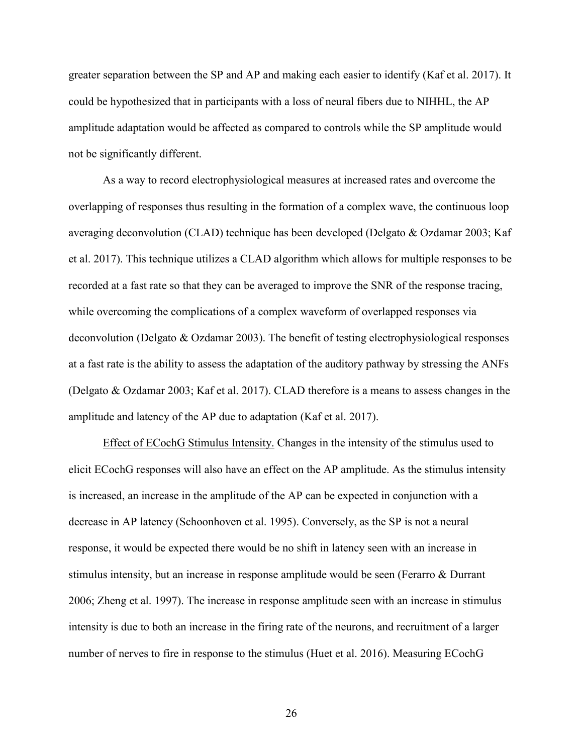greater separation between the SP and AP and making each easier to identify (Kaf et al. 2017). It could be hypothesized that in participants with a loss of neural fibers due to NIHHL, the AP amplitude adaptation would be affected as compared to controls while the SP amplitude would not be significantly different.

As a way to record electrophysiological measures at increased rates and overcome the overlapping of responses thus resulting in the formation of a complex wave, the continuous loop averaging deconvolution (CLAD) technique has been developed (Delgato & Ozdamar 2003; Kaf et al. 2017). This technique utilizes a CLAD algorithm which allows for multiple responses to be recorded at a fast rate so that they can be averaged to improve the SNR of the response tracing, while overcoming the complications of a complex waveform of overlapped responses via deconvolution (Delgato & Ozdamar 2003). The benefit of testing electrophysiological responses at a fast rate is the ability to assess the adaptation of the auditory pathway by stressing the ANFs (Delgato & Ozdamar 2003; Kaf et al. 2017). CLAD therefore is a means to assess changes in the amplitude and latency of the AP due to adaptation (Kaf et al. 2017).

Effect of ECochG Stimulus Intensity. Changes in the intensity of the stimulus used to elicit ECochG responses will also have an effect on the AP amplitude. As the stimulus intensity is increased, an increase in the amplitude of the AP can be expected in conjunction with a decrease in AP latency (Schoonhoven et al. 1995). Conversely, as the SP is not a neural response, it would be expected there would be no shift in latency seen with an increase in stimulus intensity, but an increase in response amplitude would be seen (Ferarro & Durrant 2006; Zheng et al. 1997). The increase in response amplitude seen with an increase in stimulus intensity is due to both an increase in the firing rate of the neurons, and recruitment of a larger number of nerves to fire in response to the stimulus (Huet et al. 2016). Measuring ECochG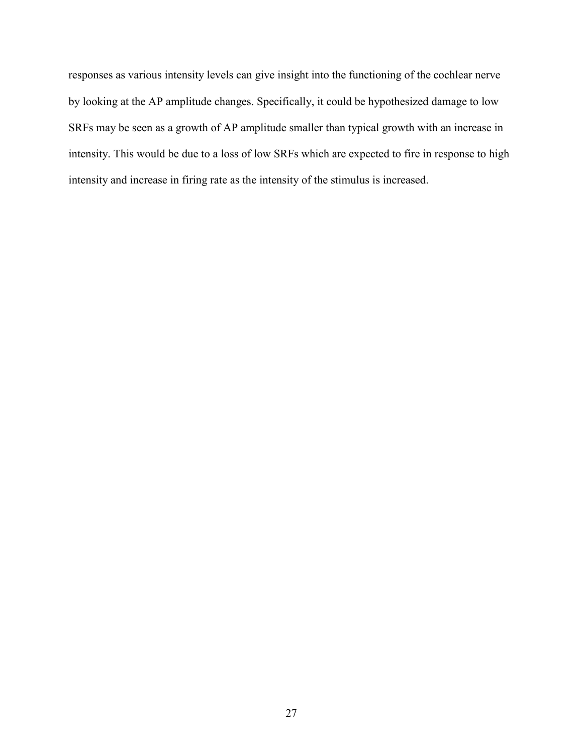responses as various intensity levels can give insight into the functioning of the cochlear nerve by looking at the AP amplitude changes. Specifically, it could be hypothesized damage to low SRFs may be seen as a growth of AP amplitude smaller than typical growth with an increase in intensity. This would be due to a loss of low SRFs which are expected to fire in response to high intensity and increase in firing rate as the intensity of the stimulus is increased.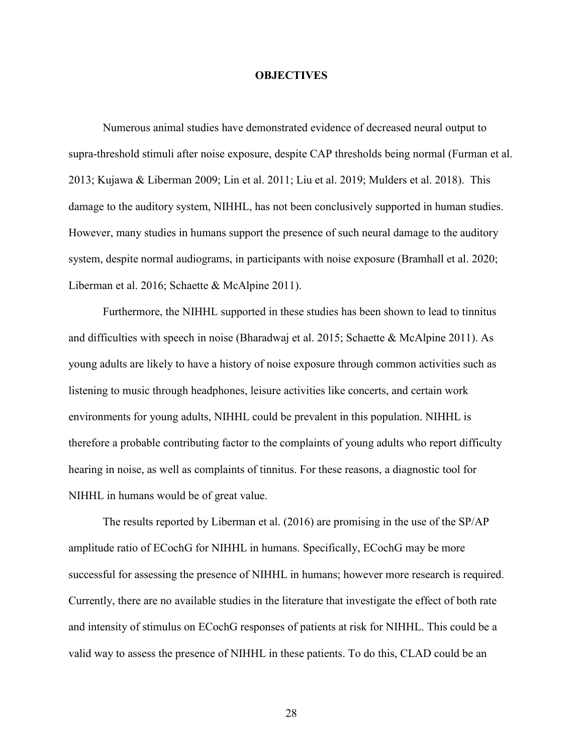### **OBJECTIVES**

Numerous animal studies have demonstrated evidence of decreased neural output to supra-threshold stimuli after noise exposure, despite CAP thresholds being normal (Furman et al. 2013; Kujawa & Liberman 2009; Lin et al. 2011; Liu et al. 2019; Mulders et al. 2018). This damage to the auditory system, NIHHL, has not been conclusively supported in human studies. However, many studies in humans support the presence of such neural damage to the auditory system, despite normal audiograms, in participants with noise exposure (Bramhall et al. 2020; Liberman et al. 2016; Schaette & McAlpine 2011).

Furthermore, the NIHHL supported in these studies has been shown to lead to tinnitus and difficulties with speech in noise (Bharadwaj et al. 2015; Schaette & McAlpine 2011). As young adults are likely to have a history of noise exposure through common activities such as listening to music through headphones, leisure activities like concerts, and certain work environments for young adults, NIHHL could be prevalent in this population. NIHHL is therefore a probable contributing factor to the complaints of young adults who report difficulty hearing in noise, as well as complaints of tinnitus. For these reasons, a diagnostic tool for NIHHL in humans would be of great value.

The results reported by Liberman et al. (2016) are promising in the use of the SP/AP amplitude ratio of ECochG for NIHHL in humans. Specifically, ECochG may be more successful for assessing the presence of NIHHL in humans; however more research is required. Currently, there are no available studies in the literature that investigate the effect of both rate and intensity of stimulus on ECochG responses of patients at risk for NIHHL. This could be a valid way to assess the presence of NIHHL in these patients. To do this, CLAD could be an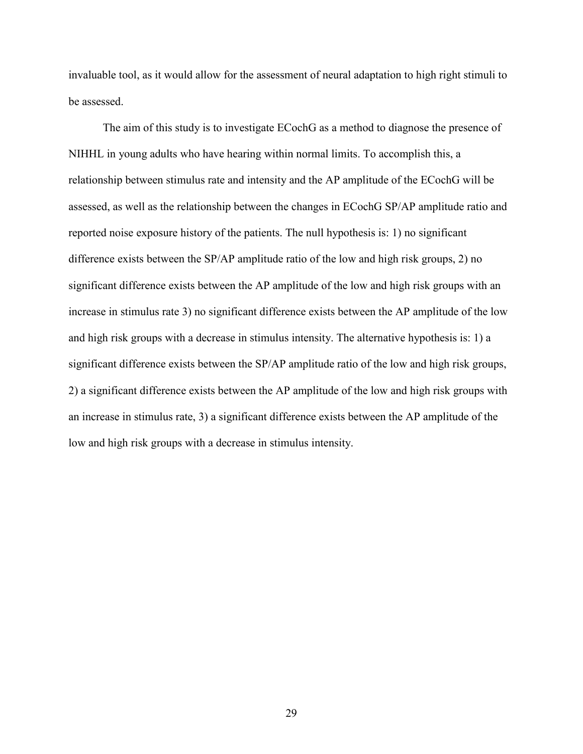invaluable tool, as it would allow for the assessment of neural adaptation to high right stimuli to be assessed.

The aim of this study is to investigate ECochG as a method to diagnose the presence of NIHHL in young adults who have hearing within normal limits. To accomplish this, a relationship between stimulus rate and intensity and the AP amplitude of the ECochG will be assessed, as well as the relationship between the changes in ECochG SP/AP amplitude ratio and reported noise exposure history of the patients. The null hypothesis is: 1) no significant difference exists between the SP/AP amplitude ratio of the low and high risk groups, 2) no significant difference exists between the AP amplitude of the low and high risk groups with an increase in stimulus rate 3) no significant difference exists between the AP amplitude of the low and high risk groups with a decrease in stimulus intensity. The alternative hypothesis is: 1) a significant difference exists between the SP/AP amplitude ratio of the low and high risk groups, 2) a significant difference exists between the AP amplitude of the low and high risk groups with an increase in stimulus rate, 3) a significant difference exists between the AP amplitude of the low and high risk groups with a decrease in stimulus intensity.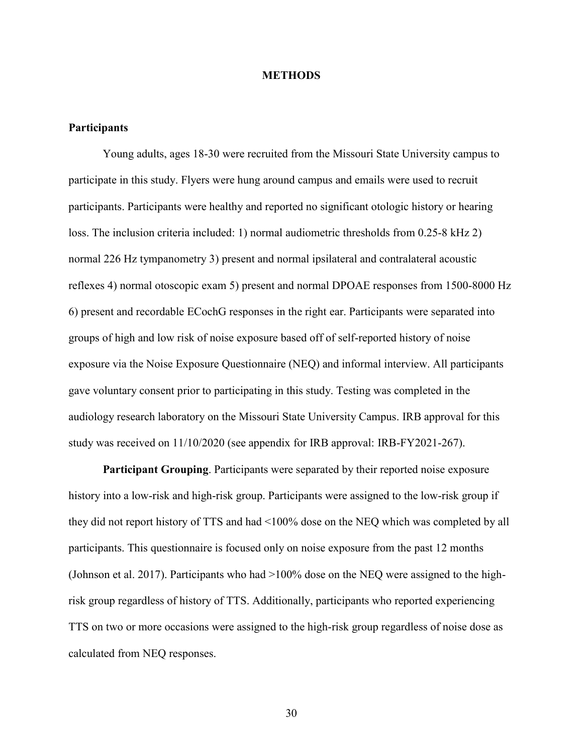### **METHODS**

# **Participants**

Young adults, ages 18-30 were recruited from the Missouri State University campus to participate in this study. Flyers were hung around campus and emails were used to recruit participants. Participants were healthy and reported no significant otologic history or hearing loss. The inclusion criteria included: 1) normal audiometric thresholds from 0.25-8 kHz 2) normal 226 Hz tympanometry 3) present and normal ipsilateral and contralateral acoustic reflexes 4) normal otoscopic exam 5) present and normal DPOAE responses from 1500-8000 Hz 6) present and recordable ECochG responses in the right ear. Participants were separated into groups of high and low risk of noise exposure based off of self-reported history of noise exposure via the Noise Exposure Questionnaire (NEQ) and informal interview. All participants gave voluntary consent prior to participating in this study. Testing was completed in the audiology research laboratory on the Missouri State University Campus. IRB approval for this study was received on 11/10/2020 (see appendix for IRB approval: IRB-FY2021-267).

**Participant Grouping**. Participants were separated by their reported noise exposure history into a low-risk and high-risk group. Participants were assigned to the low-risk group if they did not report history of TTS and had <100% dose on the NEQ which was completed by all participants. This questionnaire is focused only on noise exposure from the past 12 months (Johnson et al. 2017). Participants who had >100% dose on the NEQ were assigned to the highrisk group regardless of history of TTS. Additionally, participants who reported experiencing TTS on two or more occasions were assigned to the high-risk group regardless of noise dose as calculated from NEQ responses.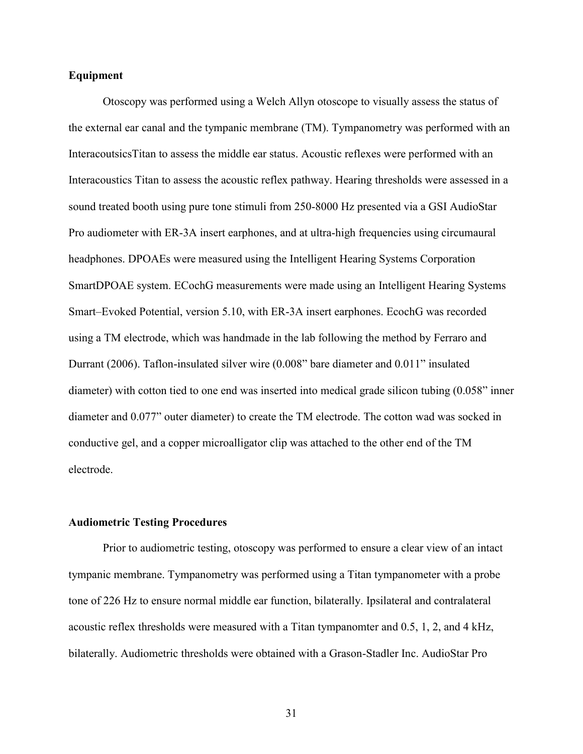## **Equipment**

Otoscopy was performed using a Welch Allyn otoscope to visually assess the status of the external ear canal and the tympanic membrane (TM). Tympanometry was performed with an InteracoutsicsTitan to assess the middle ear status. Acoustic reflexes were performed with an Interacoustics Titan to assess the acoustic reflex pathway. Hearing thresholds were assessed in a sound treated booth using pure tone stimuli from 250-8000 Hz presented via a GSI AudioStar Pro audiometer with ER-3A insert earphones, and at ultra-high frequencies using circumaural headphones. DPOAEs were measured using the Intelligent Hearing Systems Corporation SmartDPOAE system. ECochG measurements were made using an Intelligent Hearing Systems Smart–Evoked Potential, version 5.10, with ER-3A insert earphones. EcochG was recorded using a TM electrode, which was handmade in the lab following the method by Ferraro and Durrant (2006). Taflon-insulated silver wire (0.008" bare diameter and 0.011" insulated diameter) with cotton tied to one end was inserted into medical grade silicon tubing  $(0.058)$  inner diameter and 0.077" outer diameter) to create the TM electrode. The cotton wad was socked in conductive gel, and a copper microalligator clip was attached to the other end of the TM electrode.

#### **Audiometric Testing Procedures**

Prior to audiometric testing, otoscopy was performed to ensure a clear view of an intact tympanic membrane. Tympanometry was performed using a Titan tympanometer with a probe tone of 226 Hz to ensure normal middle ear function, bilaterally. Ipsilateral and contralateral acoustic reflex thresholds were measured with a Titan tympanomter and 0.5, 1, 2, and 4 kHz, bilaterally. Audiometric thresholds were obtained with a Grason-Stadler Inc. AudioStar Pro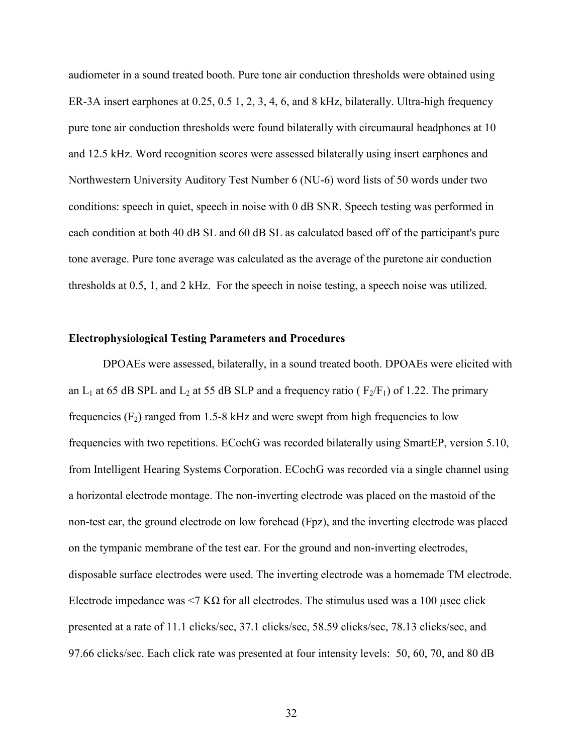audiometer in a sound treated booth. Pure tone air conduction thresholds were obtained using ER-3A insert earphones at 0.25, 0.5 1, 2, 3, 4, 6, and 8 kHz, bilaterally. Ultra-high frequency pure tone air conduction thresholds were found bilaterally with circumaural headphones at 10 and 12.5 kHz. Word recognition scores were assessed bilaterally using insert earphones and Northwestern University Auditory Test Number 6 (NU-6) word lists of 50 words under two conditions: speech in quiet, speech in noise with 0 dB SNR. Speech testing was performed in each condition at both 40 dB SL and 60 dB SL as calculated based off of the participant's pure tone average. Pure tone average was calculated as the average of the puretone air conduction thresholds at 0.5, 1, and 2 kHz. For the speech in noise testing, a speech noise was utilized.

### **Electrophysiological Testing Parameters and Procedures**

DPOAEs were assessed, bilaterally, in a sound treated booth. DPOAEs were elicited with an L<sub>1</sub> at 65 dB SPL and L<sub>2</sub> at 55 dB SLP and a frequency ratio ( $F_2/F_1$ ) of 1.22. The primary frequencies  $(F_2)$  ranged from 1.5-8 kHz and were swept from high frequencies to low frequencies with two repetitions. ECochG was recorded bilaterally using SmartEP, version 5.10, from Intelligent Hearing Systems Corporation. ECochG was recorded via a single channel using a horizontal electrode montage. The non-inverting electrode was placed on the mastoid of the non-test ear, the ground electrode on low forehead (Fpz), and the inverting electrode was placed on the tympanic membrane of the test ear. For the ground and non-inverting electrodes, disposable surface electrodes were used. The inverting electrode was a homemade TM electrode. Electrode impedance was  $\leq 7$  KΩ for all electrodes. The stimulus used was a 100 µsec click presented at a rate of 11.1 clicks/sec, 37.1 clicks/sec, 58.59 clicks/sec, 78.13 clicks/sec, and 97.66 clicks/sec. Each click rate was presented at four intensity levels: 50, 60, 70, and 80 dB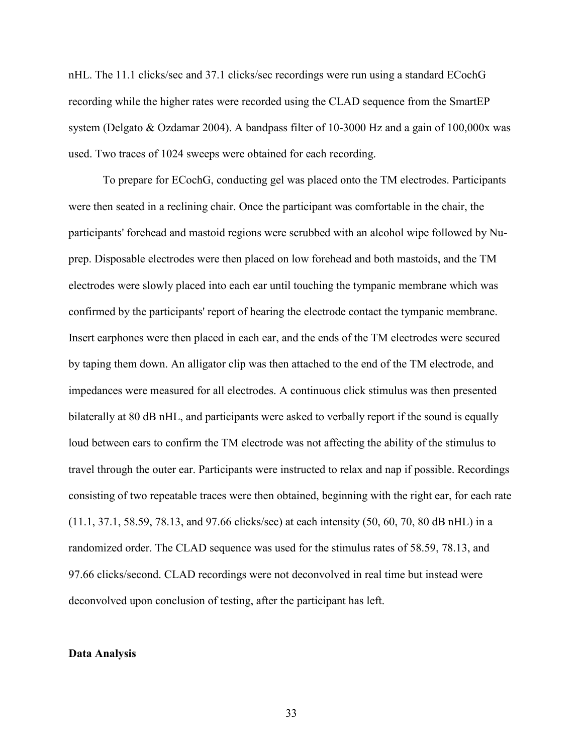nHL. The 11.1 clicks/sec and 37.1 clicks/sec recordings were run using a standard ECochG recording while the higher rates were recorded using the CLAD sequence from the SmartEP system (Delgato & Ozdamar 2004). A bandpass filter of 10-3000 Hz and a gain of 100,000x was used. Two traces of 1024 sweeps were obtained for each recording.

To prepare for ECochG, conducting gel was placed onto the TM electrodes. Participants were then seated in a reclining chair. Once the participant was comfortable in the chair, the participants' forehead and mastoid regions were scrubbed with an alcohol wipe followed by Nuprep. Disposable electrodes were then placed on low forehead and both mastoids, and the TM electrodes were slowly placed into each ear until touching the tympanic membrane which was confirmed by the participants' report of hearing the electrode contact the tympanic membrane. Insert earphones were then placed in each ear, and the ends of the TM electrodes were secured by taping them down. An alligator clip was then attached to the end of the TM electrode, and impedances were measured for all electrodes. A continuous click stimulus was then presented bilaterally at 80 dB nHL, and participants were asked to verbally report if the sound is equally loud between ears to confirm the TM electrode was not affecting the ability of the stimulus to travel through the outer ear. Participants were instructed to relax and nap if possible. Recordings consisting of two repeatable traces were then obtained, beginning with the right ear, for each rate (11.1, 37.1, 58.59, 78.13, and 97.66 clicks/sec) at each intensity (50, 60, 70, 80 dB nHL) in a randomized order. The CLAD sequence was used for the stimulus rates of 58.59, 78.13, and 97.66 clicks/second. CLAD recordings were not deconvolved in real time but instead were deconvolved upon conclusion of testing, after the participant has left.

#### **Data Analysis**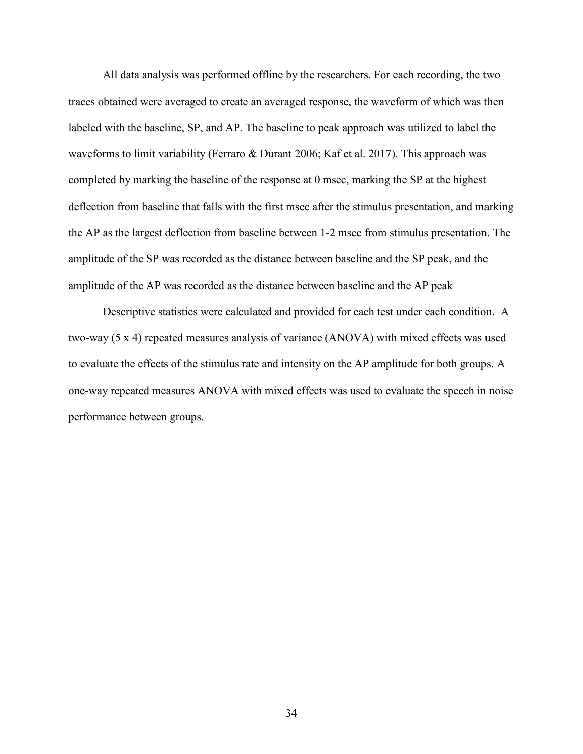All data analysis was performed offline by the researchers. For each recording, the two traces obtained were averaged to create an averaged response, the waveform of which was then labeled with the baseline, SP, and AP. The baseline to peak approach was utilized to label the waveforms to limit variability (Ferraro & Durant 2006; Kaf et al. 2017). This approach was completed by marking the baseline of the response at 0 msec, marking the SP at the highest deflection from baseline that falls with the first msec after the stimulus presentation, and marking the AP as the largest deflection from baseline between 1-2 msec from stimulus presentation. The amplitude of the SP was recorded as the distance between baseline and the SP peak, and the amplitude of the AP was recorded as the distance between baseline and the AP peak

Descriptive statistics were calculated and provided for each test under each condition. A two-way (5 x 4) repeated measures analysis of variance (ANOVA) with mixed effects was used to evaluate the effects of the stimulus rate and intensity on the AP amplitude for both groups. A one-way repeated measures ANOVA with mixed effects was used to evaluate the speech in noise performance between groups.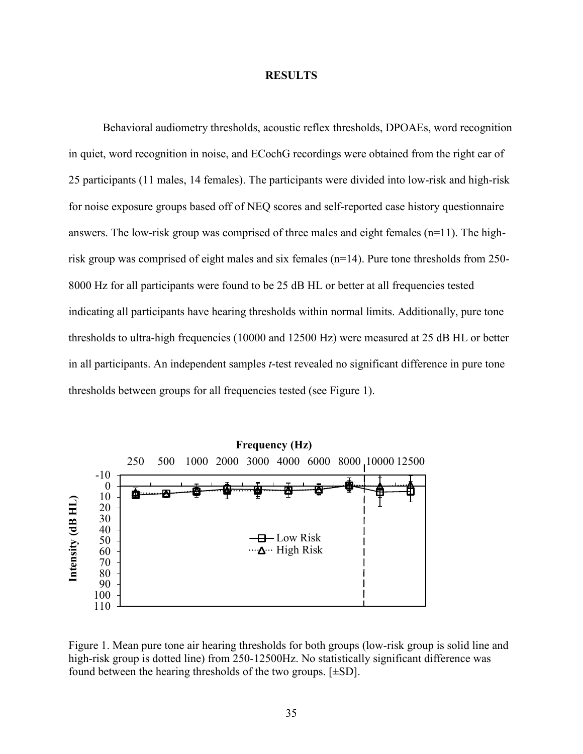### **RESULTS**

Behavioral audiometry thresholds, acoustic reflex thresholds, DPOAEs, word recognition in quiet, word recognition in noise, and ECochG recordings were obtained from the right ear of 25 participants (11 males, 14 females). The participants were divided into low-risk and high-risk for noise exposure groups based off of NEQ scores and self-reported case history questionnaire answers. The low-risk group was comprised of three males and eight females (n=11). The highrisk group was comprised of eight males and six females (n=14). Pure tone thresholds from 250- 8000 Hz for all participants were found to be 25 dB HL or better at all frequencies tested indicating all participants have hearing thresholds within normal limits. Additionally, pure tone thresholds to ultra-high frequencies (10000 and 12500 Hz) were measured at 25 dB HL or better in all participants. An independent samples *t*-test revealed no significant difference in pure tone thresholds between groups for all frequencies tested (see Figure 1).



Figure 1. Mean pure tone air hearing thresholds for both groups (low-risk group is solid line and high-risk group is dotted line) from 250-12500Hz. No statistically significant difference was found between the hearing thresholds of the two groups. [±SD].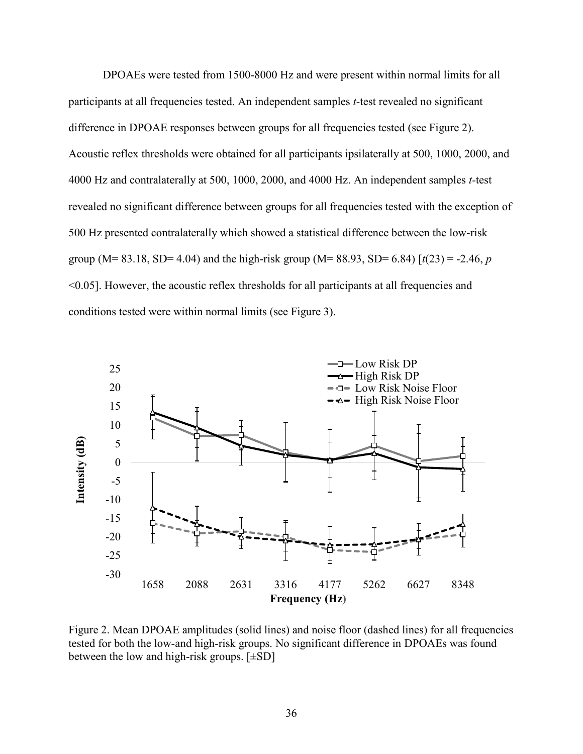DPOAEs were tested from 1500-8000 Hz and were present within normal limits for all participants at all frequencies tested. An independent samples *t-*test revealed no significant difference in DPOAE responses between groups for all frequencies tested (see Figure 2). Acoustic reflex thresholds were obtained for all participants ipsilaterally at 500, 1000, 2000, and 4000 Hz and contralaterally at 500, 1000, 2000, and 4000 Hz. An independent samples *t-*test revealed no significant difference between groups for all frequencies tested with the exception of 500 Hz presented contralaterally which showed a statistical difference between the low-risk group (M= 83.18, SD= 4.04) and the high-risk group (M= 88.93, SD= 6.84)  $\lceil t(23) = -2.46, p$ <0.05]. However, the acoustic reflex thresholds for all participants at all frequencies and conditions tested were within normal limits (see Figure 3).



Figure 2. Mean DPOAE amplitudes (solid lines) and noise floor (dashed lines) for all frequencies tested for both the low-and high-risk groups. No significant difference in DPOAEs was found between the low and high-risk groups.  $[\pm SD]$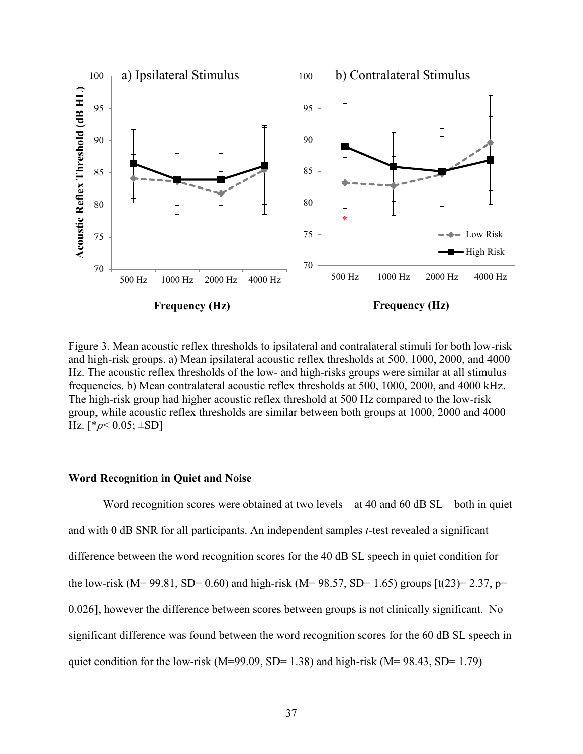

Figure 3. Mean acoustic reflex thresholds to ipsilateral and contralateral stimuli for both low-risk and high-risk groups. a) Mean ipsilateral acoustic reflex thresholds at 500, 1000, 2000, and 4000 Hz. The acoustic reflex thresholds of the low- and high-risks groups were similar at all stimulus frequencies. b) Mean contralateral acoustic reflex thresholds at 500, 1000, 2000, and 4000 kHz. The high-risk group had higher acoustic reflex threshold at 500 Hz compared to the low-risk group, while acoustic reflex thresholds are similar between both groups at 1000, 2000 and 4000 Hz.  $[*p<0.05; \pm SD]$ 

## **Word Recognition in Quiet and Noise**

Word recognition scores were obtained at two levels—at 40 and 60 dB SL—both in quiet and with 0 dB SNR for all participants. An independent samples *t*-test revealed a significant difference between the word recognition scores for the 40 dB SL speech in quiet condition for the low-risk (M= 99.81, SD= 0.60) and high-risk (M= 98.57, SD= 1.65) groups  $\lceil t(23)=2.37, p=$ 0.026], however the difference between scores between groups is not clinically significant. No significant difference was found between the word recognition scores for the 60 dB SL speech in quiet condition for the low-risk (M=99.09, SD= 1.38) and high-risk (M=  $98.43$ , SD= 1.79)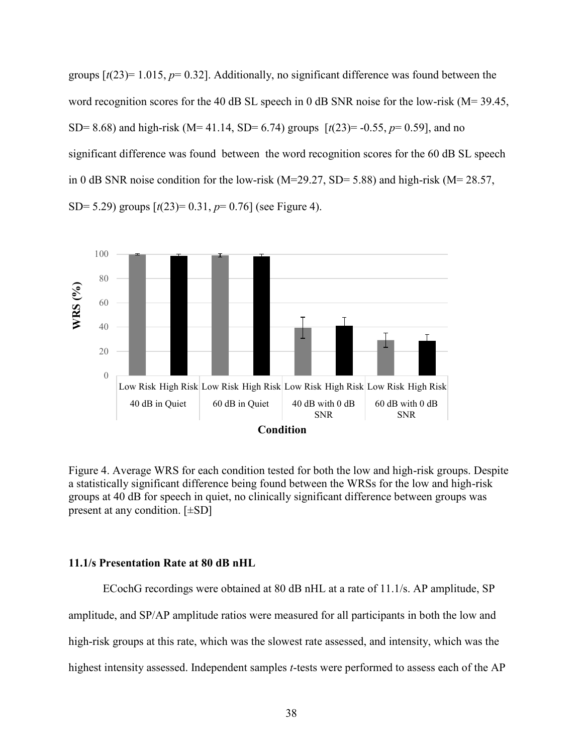groups  $[t(23) = 1.015, p = 0.32]$ . Additionally, no significant difference was found between the word recognition scores for the 40 dB SL speech in 0 dB SNR noise for the low-risk  $(M= 39.45,$ SD= 8.68) and high-risk (M= 41.14, SD= 6.74) groups [*t*(23)= -0.55, *p*= 0.59], and no significant difference was found between the word recognition scores for the 60 dB SL speech in 0 dB SNR noise condition for the low-risk (M=29.27, SD= 5.88) and high-risk (M= 28.57, SD= 5.29) groups [*t*(23)= 0.31, *p*= 0.76] (see Figure 4).



Figure 4. Average WRS for each condition tested for both the low and high-risk groups. Despite a statistically significant difference being found between the WRSs for the low and high-risk groups at 40 dB for speech in quiet, no clinically significant difference between groups was present at any condition. [±SD]

### **11.1/s Presentation Rate at 80 dB nHL**

ECochG recordings were obtained at 80 dB nHL at a rate of 11.1/s. AP amplitude, SP amplitude, and SP/AP amplitude ratios were measured for all participants in both the low and high-risk groups at this rate, which was the slowest rate assessed, and intensity, which was the highest intensity assessed. Independent samples *t*-tests were performed to assess each of the AP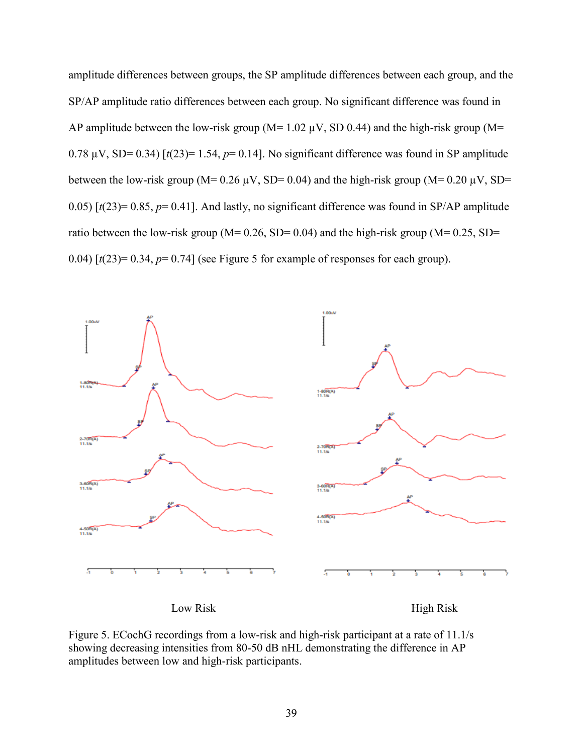amplitude differences between groups, the SP amplitude differences between each group, and the SP/AP amplitude ratio differences between each group. No significant difference was found in AP amplitude between the low-risk group ( $M= 1.02 \mu V$ , SD 0.44) and the high-risk group ( $M=$ 0.78  $\mu$ V, SD= 0.34) [ $t(23)$ = 1.54,  $p$ = 0.14]. No significant difference was found in SP amplitude between the low-risk group (M=  $0.26 \mu V$ , SD=  $0.04$ ) and the high-risk group (M=  $0.20 \mu V$ , SD= 0.05)  $\lceil t(23) = 0.85$ ,  $p = 0.41$ . And lastly, no significant difference was found in SP/AP amplitude ratio between the low-risk group ( $M= 0.26$ , SD= 0.04) and the high-risk group ( $M= 0.25$ , SD= 0.04)  $\lceil t(23) = 0.34$ ,  $p = 0.74$  (see Figure 5 for example of responses for each group).



Figure 5. ECochG recordings from a low-risk and high-risk participant at a rate of 11.1/s showing decreasing intensities from 80-50 dB nHL demonstrating the difference in AP amplitudes between low and high-risk participants.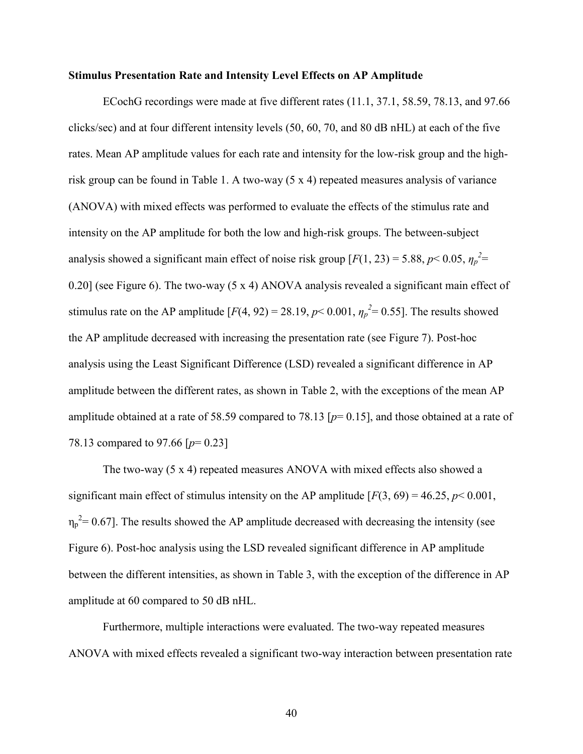### **Stimulus Presentation Rate and Intensity Level Effects on AP Amplitude**

ECochG recordings were made at five different rates (11.1, 37.1, 58.59, 78.13, and 97.66 clicks/sec) and at four different intensity levels (50, 60, 70, and 80 dB nHL) at each of the five rates. Mean AP amplitude values for each rate and intensity for the low-risk group and the highrisk group can be found in Table 1. A two-way (5 x 4) repeated measures analysis of variance (ANOVA) with mixed effects was performed to evaluate the effects of the stimulus rate and intensity on the AP amplitude for both the low and high-risk groups. The between-subject analysis showed a significant main effect of noise risk group  $[F(1, 23) = 5.88, p < 0.05, \eta_p^2$ 0.20] (see Figure 6). The two-way (5 x 4) ANOVA analysis revealed a significant main effect of stimulus rate on the AP amplitude  $[F(4, 92) = 28.19, p< 0.001, \eta_p^2 = 0.55]$ . The results showed the AP amplitude decreased with increasing the presentation rate (see Figure 7). Post-hoc analysis using the Least Significant Difference (LSD) revealed a significant difference in AP amplitude between the different rates, as shown in Table 2, with the exceptions of the mean AP amplitude obtained at a rate of 58.59 compared to 78.13 [*p*= 0.15], and those obtained at a rate of 78.13 compared to 97.66 [*p*= 0.23]

The two-way (5 x 4) repeated measures ANOVA with mixed effects also showed a significant main effect of stimulus intensity on the AP amplitude  $[F(3, 69) = 46.25, p < 0.001,$  $\eta_p^2$  = 0.67]. The results showed the AP amplitude decreased with decreasing the intensity (see Figure 6). Post-hoc analysis using the LSD revealed significant difference in AP amplitude between the different intensities, as shown in Table 3, with the exception of the difference in AP amplitude at 60 compared to 50 dB nHL.

Furthermore, multiple interactions were evaluated. The two-way repeated measures ANOVA with mixed effects revealed a significant two-way interaction between presentation rate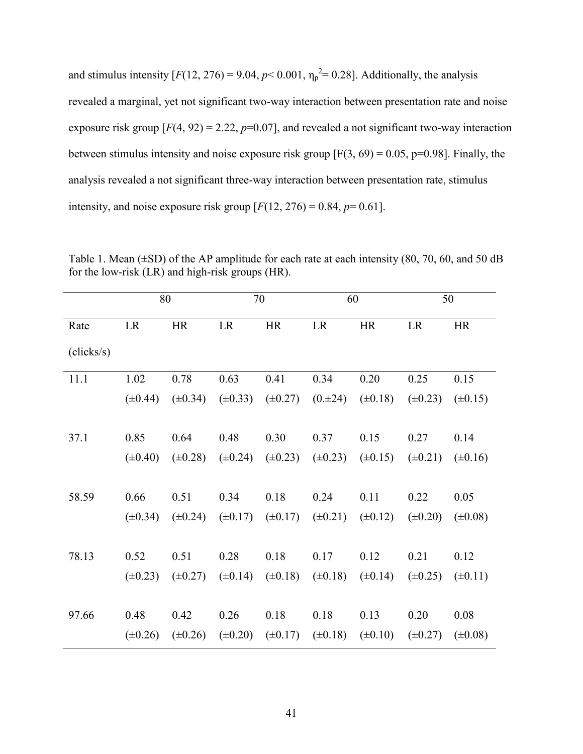and stimulus intensity  $[F(12, 276) = 9.04, p < 0.001, \eta_p^2 = 0.28]$ . Additionally, the analysis revealed a marginal, yet not significant two-way interaction between presentation rate and noise exposure risk group  $[F(4, 92) = 2.22, p=0.07]$ , and revealed a not significant two-way interaction between stimulus intensity and noise exposure risk group  $[F(3, 69) = 0.05, p=0.98]$ . Finally, the analysis revealed a not significant three-way interaction between presentation rate, stimulus intensity, and noise exposure risk group  $[F(12, 276) = 0.84, p = 0.61]$ .

|            |              | 80           |              | 70   | 60   |                                                                               | 50           |              |
|------------|--------------|--------------|--------------|------|------|-------------------------------------------------------------------------------|--------------|--------------|
| Rate       | <b>LR</b>    | HR           | LR           | HR   | LR   | HR                                                                            | <b>LR</b>    | HR           |
| (clicks/s) |              |              |              |      |      |                                                                               |              |              |
| 11.1       | 1.02         | 0.78         | 0.63         | 0.41 | 0.34 | 0.20                                                                          | 0.25         | 0.15         |
|            | $(\pm 0.44)$ | $(\pm 0.34)$ |              |      |      | $(\pm 0.33)$ $(\pm 0.27)$ $(0. \pm 24)$ $(\pm 0.18)$                          | $(\pm 0.23)$ | $(\pm 0.15)$ |
|            |              |              |              |      |      |                                                                               |              |              |
| 37.1       | 0.85         | 0.64         | 0.48         | 0.30 | 0.37 | 0.15                                                                          | 0.27         | 0.14         |
|            | $(\pm 0.40)$ | $(\pm 0.28)$ | $(\pm 0.24)$ |      |      | $(\pm 0.23)$ $(\pm 0.23)$ $(\pm 0.15)$                                        | $(\pm 0.21)$ | $(\pm 0.16)$ |
|            |              |              |              |      |      |                                                                               |              |              |
| 58.59      | 0.66         | 0.51         | 0.34         | 0.18 | 0.24 | 0.11                                                                          | 0.22         | 0.05         |
|            | $(\pm 0.34)$ |              |              |      |      | $(\pm 0.24)$ $(\pm 0.17)$ $(\pm 0.17)$ $(\pm 0.21)$ $(\pm 0.12)$ $(\pm 0.20)$ |              | $(\pm 0.08)$ |
|            |              |              |              |      |      |                                                                               |              |              |
| 78.13      | 0.52         | 0.51         | 0.28         | 0.18 | 0.17 | 0.12                                                                          | 0.21         | 0.12         |
|            | $(\pm 0.23)$ | $(\pm 0.27)$ |              |      |      | $(\pm 0.14)$ $(\pm 0.18)$ $(\pm 0.18)$ $(\pm 0.14)$                           | $(\pm 0.25)$ | $(\pm 0.11)$ |
|            |              |              |              |      |      |                                                                               |              |              |
| 97.66      | 0.48         | 0.42         | 0.26         | 0.18 | 0.18 | 0.13                                                                          | 0.20         | 0.08         |

Table 1. Mean  $(\pm SD)$  of the AP amplitude for each rate at each intensity (80, 70, 60, and 50 dB for the low-risk (LR) and high-risk groups (HR).

 $(\pm 0.17)$ 

 $(\pm 0.18)$ 

 $(\pm 0.10)$ 

 $(\pm 0.27)$ 

 $(\pm 0.08)$ 

 $(\pm 0.26)$ 

 $(\pm 0.26)$ 

 $(\pm 0.20)$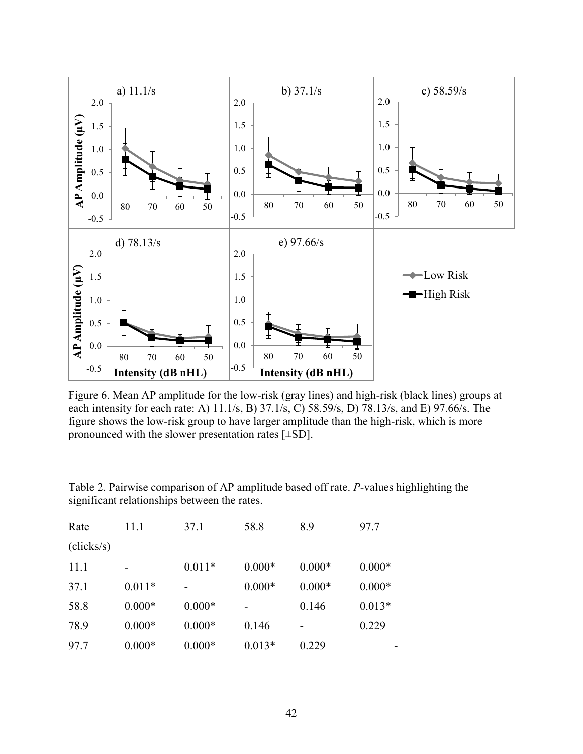

Figure 6. Mean AP amplitude for the low-risk (gray lines) and high-risk (black lines) groups at each intensity for each rate: A) 11.1/s, B) 37.1/s, C) 58.59/s, D) 78.13/s, and E) 97.66/s. The figure shows the low-risk group to have larger amplitude than the high-risk, which is more pronounced with the slower presentation rates  $[\pm SD]$ .

| Rate       | 11.1     | 37.1     | 58.8     | 8.9      | 97.7     |
|------------|----------|----------|----------|----------|----------|
| (clicks/s) |          |          |          |          |          |
| 11.1       | -        | $0.011*$ | $0.000*$ | $0.000*$ | $0.000*$ |
| 37.1       | $0.011*$ |          | $0.000*$ | $0.000*$ | $0.000*$ |
| 58.8       | $0.000*$ | $0.000*$ |          | 0.146    | $0.013*$ |
| 78.9       | $0.000*$ | $0.000*$ | 0.146    |          | 0.229    |
| 97.7       | $0.000*$ | $0.000*$ | $0.013*$ | 0.229    |          |

Table 2. Pairwise comparison of AP amplitude based off rate. *P*-values highlighting the significant relationships between the rates.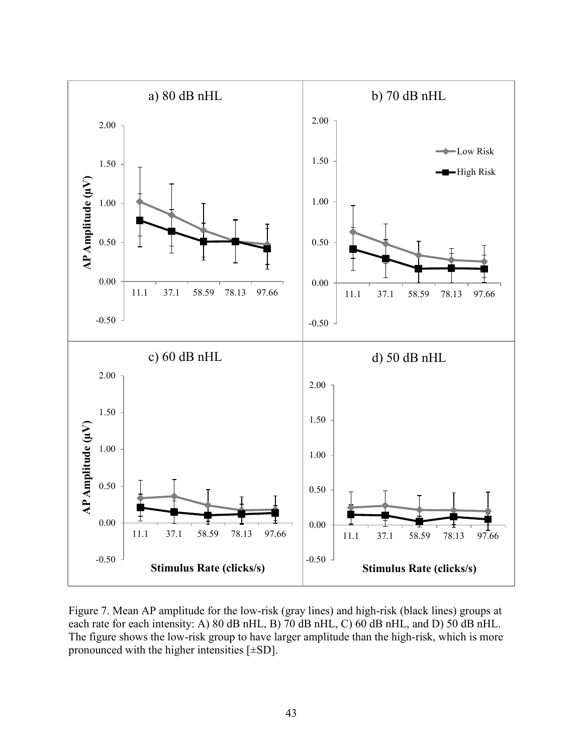

Figure 7. Mean AP amplitude for the low-risk (gray lines) and high-risk (black lines) groups at each rate for each intensity: A) 80 dB nHL, B) 70 dB nHL, C) 60 dB nHL, and D) 50 dB nHL. The figure shows the low-risk group to have larger amplitude than the high-risk, which is more pronounced with the higher intensities [±SD].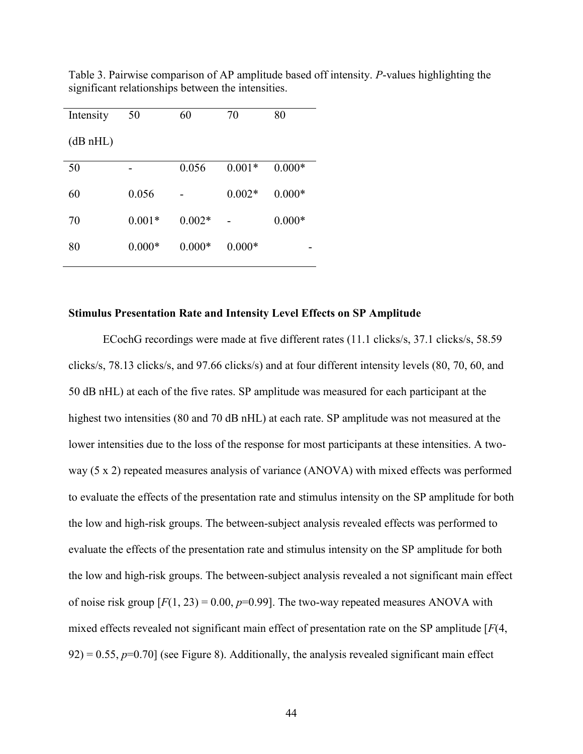| Intensity | 50       | 60       | 70       | 80       |
|-----------|----------|----------|----------|----------|
| (dB nHL)  |          |          |          |          |
| 50        |          | 0.056    | $0.001*$ | $0.000*$ |
| 60        | 0.056    |          | $0.002*$ | $0.000*$ |
| 70        | $0.001*$ | $0.002*$ |          | $0.000*$ |
| 80        | $0.000*$ | $0.000*$ | $0.000*$ |          |

Table 3. Pairwise comparison of AP amplitude based off intensity. *P*-values highlighting the significant relationships between the intensities.

### **Stimulus Presentation Rate and Intensity Level Effects on SP Amplitude**

ECochG recordings were made at five different rates (11.1 clicks/s, 37.1 clicks/s, 58.59 clicks/s, 78.13 clicks/s, and 97.66 clicks/s) and at four different intensity levels (80, 70, 60, and 50 dB nHL) at each of the five rates. SP amplitude was measured for each participant at the highest two intensities (80 and 70 dB nHL) at each rate. SP amplitude was not measured at the lower intensities due to the loss of the response for most participants at these intensities. A twoway (5 x 2) repeated measures analysis of variance (ANOVA) with mixed effects was performed to evaluate the effects of the presentation rate and stimulus intensity on the SP amplitude for both the low and high-risk groups. The between-subject analysis revealed effects was performed to evaluate the effects of the presentation rate and stimulus intensity on the SP amplitude for both the low and high-risk groups. The between-subject analysis revealed a not significant main effect of noise risk group  $[F(1, 23) = 0.00, p=0.99]$ . The two-way repeated measures ANOVA with mixed effects revealed not significant main effect of presentation rate on the SP amplitude [*F*(4,  $92$ ) = 0.55,  $p=0.70$ ] (see Figure 8). Additionally, the analysis revealed significant main effect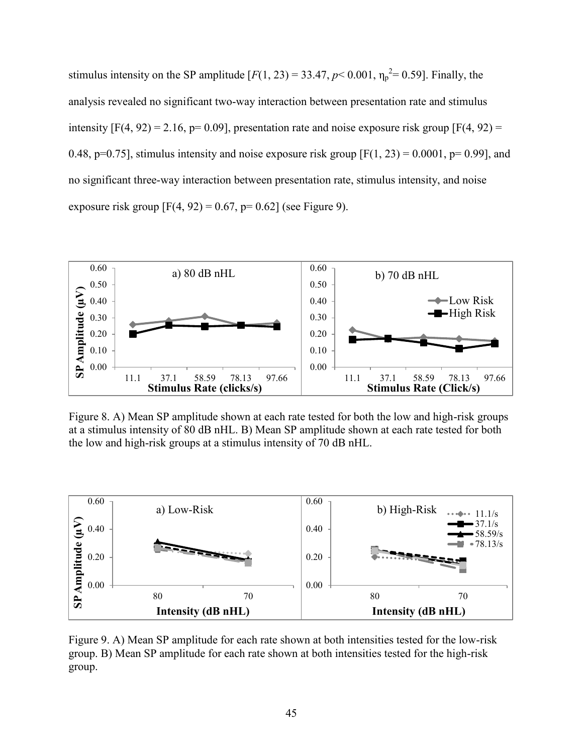stimulus intensity on the SP amplitude  $[F(1, 23) = 33.47, p < 0.001, \eta_p^2 = 0.59]$ . Finally, the analysis revealed no significant two-way interaction between presentation rate and stimulus intensity  $[F(4, 92) = 2.16, p= 0.09]$ , presentation rate and noise exposure risk group  $[F(4, 92) =$ 0.48, p=0.75], stimulus intensity and noise exposure risk group  $[F(1, 23) = 0.0001, p= 0.99]$ , and no significant three-way interaction between presentation rate, stimulus intensity, and noise exposure risk group  $[F(4, 92) = 0.67, p= 0.62]$  (see Figure 9).



Figure 8. A) Mean SP amplitude shown at each rate tested for both the low and high-risk groups at a stimulus intensity of 80 dB nHL. B) Mean SP amplitude shown at each rate tested for both the low and high-risk groups at a stimulus intensity of 70 dB nHL.



Figure 9. A) Mean SP amplitude for each rate shown at both intensities tested for the low-risk group. B) Mean SP amplitude for each rate shown at both intensities tested for the high-risk group.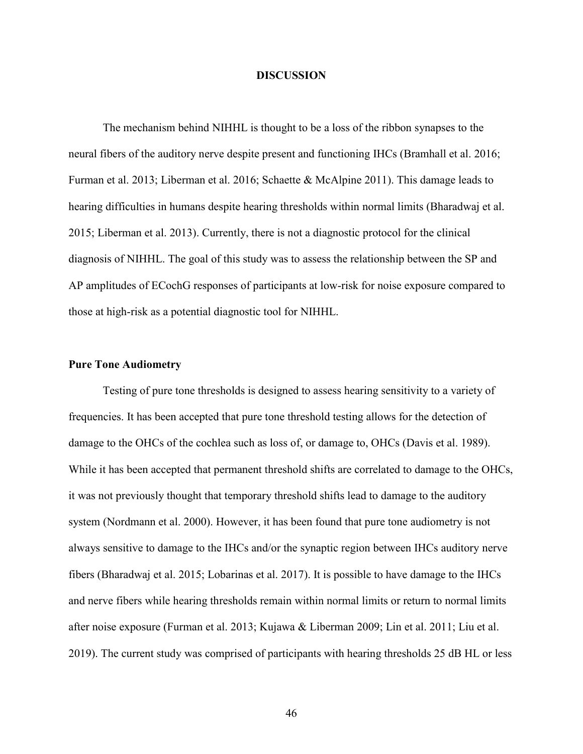### **DISCUSSION**

The mechanism behind NIHHL is thought to be a loss of the ribbon synapses to the neural fibers of the auditory nerve despite present and functioning IHCs (Bramhall et al. 2016; Furman et al. 2013; Liberman et al. 2016; Schaette & McAlpine 2011). This damage leads to hearing difficulties in humans despite hearing thresholds within normal limits (Bharadwaj et al. 2015; Liberman et al. 2013). Currently, there is not a diagnostic protocol for the clinical diagnosis of NIHHL. The goal of this study was to assess the relationship between the SP and AP amplitudes of ECochG responses of participants at low-risk for noise exposure compared to those at high-risk as a potential diagnostic tool for NIHHL.

### **Pure Tone Audiometry**

Testing of pure tone thresholds is designed to assess hearing sensitivity to a variety of frequencies. It has been accepted that pure tone threshold testing allows for the detection of damage to the OHCs of the cochlea such as loss of, or damage to, OHCs (Davis et al. 1989). While it has been accepted that permanent threshold shifts are correlated to damage to the OHCs, it was not previously thought that temporary threshold shifts lead to damage to the auditory system (Nordmann et al. 2000). However, it has been found that pure tone audiometry is not always sensitive to damage to the IHCs and/or the synaptic region between IHCs auditory nerve fibers (Bharadwaj et al. 2015; Lobarinas et al. 2017). It is possible to have damage to the IHCs and nerve fibers while hearing thresholds remain within normal limits or return to normal limits after noise exposure (Furman et al. 2013; Kujawa & Liberman 2009; Lin et al. 2011; Liu et al. 2019). The current study was comprised of participants with hearing thresholds 25 dB HL or less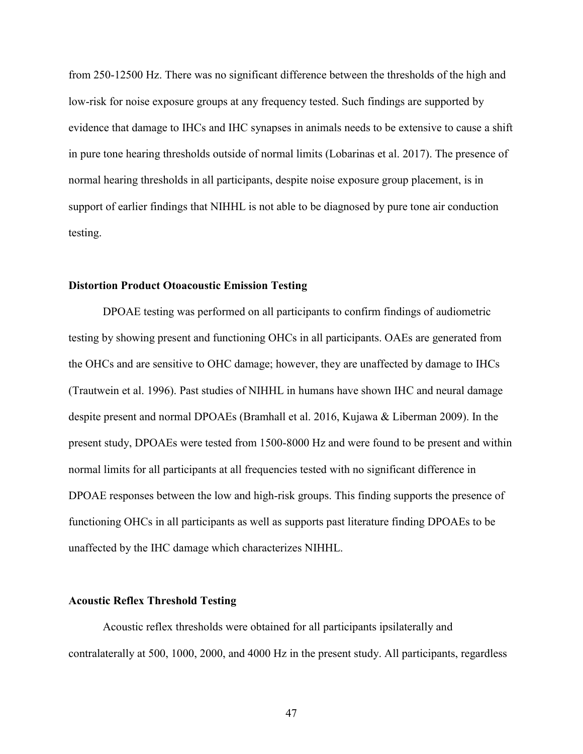from 250-12500 Hz. There was no significant difference between the thresholds of the high and low-risk for noise exposure groups at any frequency tested. Such findings are supported by evidence that damage to IHCs and IHC synapses in animals needs to be extensive to cause a shift in pure tone hearing thresholds outside of normal limits (Lobarinas et al. 2017). The presence of normal hearing thresholds in all participants, despite noise exposure group placement, is in support of earlier findings that NIHHL is not able to be diagnosed by pure tone air conduction testing.

## **Distortion Product Otoacoustic Emission Testing**

DPOAE testing was performed on all participants to confirm findings of audiometric testing by showing present and functioning OHCs in all participants. OAEs are generated from the OHCs and are sensitive to OHC damage; however, they are unaffected by damage to IHCs (Trautwein et al. 1996). Past studies of NIHHL in humans have shown IHC and neural damage despite present and normal DPOAEs (Bramhall et al. 2016, Kujawa & Liberman 2009). In the present study, DPOAEs were tested from 1500-8000 Hz and were found to be present and within normal limits for all participants at all frequencies tested with no significant difference in DPOAE responses between the low and high-risk groups. This finding supports the presence of functioning OHCs in all participants as well as supports past literature finding DPOAEs to be unaffected by the IHC damage which characterizes NIHHL.

#### **Acoustic Reflex Threshold Testing**

Acoustic reflex thresholds were obtained for all participants ipsilaterally and contralaterally at 500, 1000, 2000, and 4000 Hz in the present study. All participants, regardless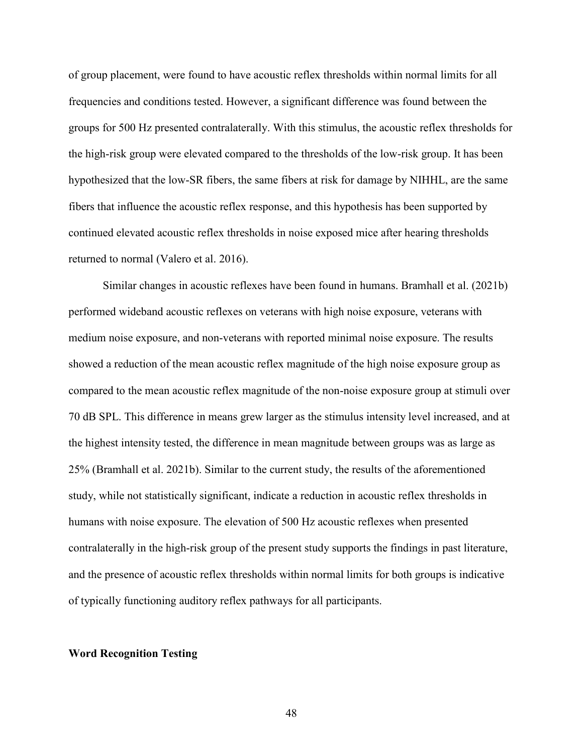of group placement, were found to have acoustic reflex thresholds within normal limits for all frequencies and conditions tested. However, a significant difference was found between the groups for 500 Hz presented contralaterally. With this stimulus, the acoustic reflex thresholds for the high-risk group were elevated compared to the thresholds of the low-risk group. It has been hypothesized that the low-SR fibers, the same fibers at risk for damage by NIHHL, are the same fibers that influence the acoustic reflex response, and this hypothesis has been supported by continued elevated acoustic reflex thresholds in noise exposed mice after hearing thresholds returned to normal (Valero et al. 2016).

Similar changes in acoustic reflexes have been found in humans. Bramhall et al. (2021b) performed wideband acoustic reflexes on veterans with high noise exposure, veterans with medium noise exposure, and non-veterans with reported minimal noise exposure. The results showed a reduction of the mean acoustic reflex magnitude of the high noise exposure group as compared to the mean acoustic reflex magnitude of the non-noise exposure group at stimuli over 70 dB SPL. This difference in means grew larger as the stimulus intensity level increased, and at the highest intensity tested, the difference in mean magnitude between groups was as large as 25% (Bramhall et al. 2021b). Similar to the current study, the results of the aforementioned study, while not statistically significant, indicate a reduction in acoustic reflex thresholds in humans with noise exposure. The elevation of 500 Hz acoustic reflexes when presented contralaterally in the high-risk group of the present study supports the findings in past literature, and the presence of acoustic reflex thresholds within normal limits for both groups is indicative of typically functioning auditory reflex pathways for all participants.

#### **Word Recognition Testing**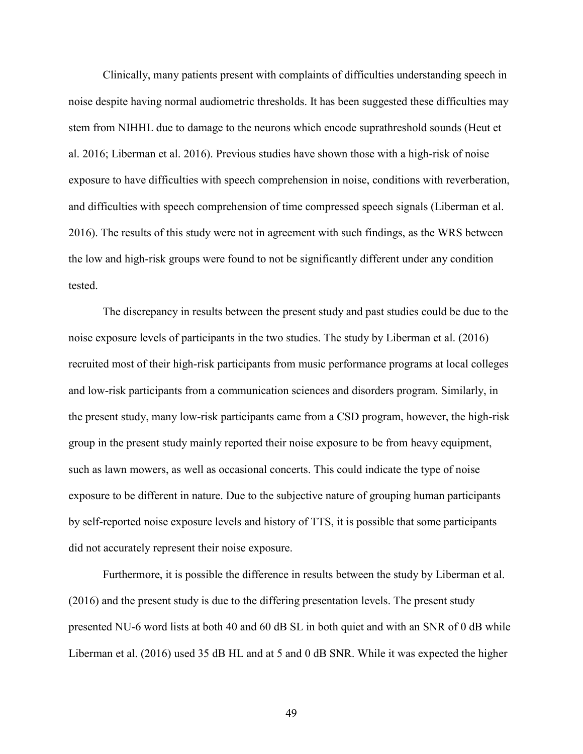Clinically, many patients present with complaints of difficulties understanding speech in noise despite having normal audiometric thresholds. It has been suggested these difficulties may stem from NIHHL due to damage to the neurons which encode suprathreshold sounds (Heut et al. 2016; Liberman et al. 2016). Previous studies have shown those with a high-risk of noise exposure to have difficulties with speech comprehension in noise, conditions with reverberation, and difficulties with speech comprehension of time compressed speech signals (Liberman et al. 2016). The results of this study were not in agreement with such findings, as the WRS between the low and high-risk groups were found to not be significantly different under any condition tested.

The discrepancy in results between the present study and past studies could be due to the noise exposure levels of participants in the two studies. The study by Liberman et al. (2016) recruited most of their high-risk participants from music performance programs at local colleges and low-risk participants from a communication sciences and disorders program. Similarly, in the present study, many low-risk participants came from a CSD program, however, the high-risk group in the present study mainly reported their noise exposure to be from heavy equipment, such as lawn mowers, as well as occasional concerts. This could indicate the type of noise exposure to be different in nature. Due to the subjective nature of grouping human participants by self-reported noise exposure levels and history of TTS, it is possible that some participants did not accurately represent their noise exposure.

Furthermore, it is possible the difference in results between the study by Liberman et al. (2016) and the present study is due to the differing presentation levels. The present study presented NU-6 word lists at both 40 and 60 dB SL in both quiet and with an SNR of 0 dB while Liberman et al. (2016) used 35 dB HL and at 5 and 0 dB SNR. While it was expected the higher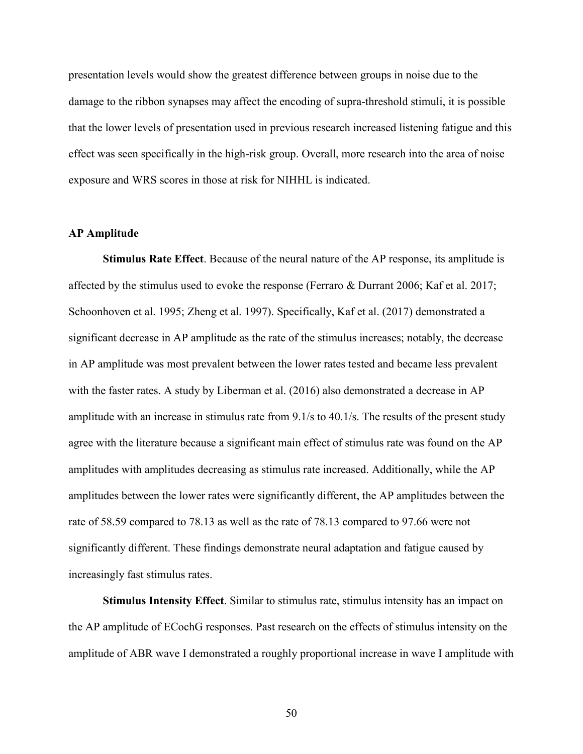presentation levels would show the greatest difference between groups in noise due to the damage to the ribbon synapses may affect the encoding of supra-threshold stimuli, it is possible that the lower levels of presentation used in previous research increased listening fatigue and this effect was seen specifically in the high-risk group. Overall, more research into the area of noise exposure and WRS scores in those at risk for NIHHL is indicated.

## **AP Amplitude**

**Stimulus Rate Effect**. Because of the neural nature of the AP response, its amplitude is affected by the stimulus used to evoke the response (Ferraro & Durrant 2006; Kaf et al. 2017; Schoonhoven et al. 1995; Zheng et al. 1997). Specifically, Kaf et al. (2017) demonstrated a significant decrease in AP amplitude as the rate of the stimulus increases; notably, the decrease in AP amplitude was most prevalent between the lower rates tested and became less prevalent with the faster rates. A study by Liberman et al. (2016) also demonstrated a decrease in AP amplitude with an increase in stimulus rate from 9.1/s to 40.1/s. The results of the present study agree with the literature because a significant main effect of stimulus rate was found on the AP amplitudes with amplitudes decreasing as stimulus rate increased. Additionally, while the AP amplitudes between the lower rates were significantly different, the AP amplitudes between the rate of 58.59 compared to 78.13 as well as the rate of 78.13 compared to 97.66 were not significantly different. These findings demonstrate neural adaptation and fatigue caused by increasingly fast stimulus rates.

**Stimulus Intensity Effect**. Similar to stimulus rate, stimulus intensity has an impact on the AP amplitude of ECochG responses. Past research on the effects of stimulus intensity on the amplitude of ABR wave I demonstrated a roughly proportional increase in wave I amplitude with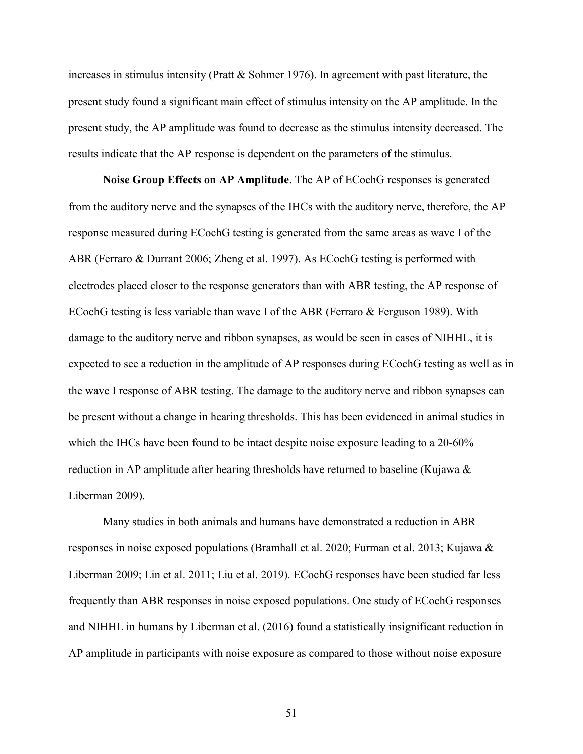increases in stimulus intensity (Pratt & Sohmer 1976). In agreement with past literature, the present study found a significant main effect of stimulus intensity on the AP amplitude. In the present study, the AP amplitude was found to decrease as the stimulus intensity decreased. The results indicate that the AP response is dependent on the parameters of the stimulus.

**Noise Group Effects on AP Amplitude**. The AP of ECochG responses is generated from the auditory nerve and the synapses of the IHCs with the auditory nerve, therefore, the AP response measured during ECochG testing is generated from the same areas as wave I of the ABR (Ferraro & Durrant 2006; Zheng et al. 1997). As ECochG testing is performed with electrodes placed closer to the response generators than with ABR testing, the AP response of ECochG testing is less variable than wave I of the ABR (Ferraro & Ferguson 1989). With damage to the auditory nerve and ribbon synapses, as would be seen in cases of NIHHL, it is expected to see a reduction in the amplitude of AP responses during ECochG testing as well as in the wave I response of ABR testing. The damage to the auditory nerve and ribbon synapses can be present without a change in hearing thresholds. This has been evidenced in animal studies in which the IHCs have been found to be intact despite noise exposure leading to a 20-60% reduction in AP amplitude after hearing thresholds have returned to baseline (Kujawa & Liberman 2009).

Many studies in both animals and humans have demonstrated a reduction in ABR responses in noise exposed populations (Bramhall et al. 2020; Furman et al. 2013; Kujawa & Liberman 2009; Lin et al. 2011; Liu et al. 2019). ECochG responses have been studied far less frequently than ABR responses in noise exposed populations. One study of ECochG responses and NIHHL in humans by Liberman et al. (2016) found a statistically insignificant reduction in AP amplitude in participants with noise exposure as compared to those without noise exposure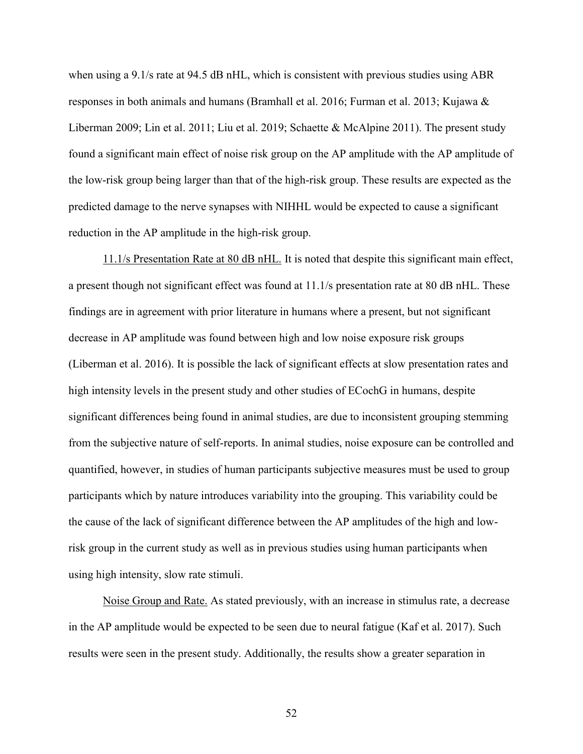when using a 9.1/s rate at 94.5 dB nHL, which is consistent with previous studies using ABR responses in both animals and humans (Bramhall et al. 2016; Furman et al. 2013; Kujawa & Liberman 2009; Lin et al. 2011; Liu et al. 2019; Schaette & McAlpine 2011). The present study found a significant main effect of noise risk group on the AP amplitude with the AP amplitude of the low-risk group being larger than that of the high-risk group. These results are expected as the predicted damage to the nerve synapses with NIHHL would be expected to cause a significant reduction in the AP amplitude in the high-risk group.

11.1/s Presentation Rate at 80 dB nHL. It is noted that despite this significant main effect, a present though not significant effect was found at 11.1/s presentation rate at 80 dB nHL. These findings are in agreement with prior literature in humans where a present, but not significant decrease in AP amplitude was found between high and low noise exposure risk groups (Liberman et al. 2016). It is possible the lack of significant effects at slow presentation rates and high intensity levels in the present study and other studies of ECochG in humans, despite significant differences being found in animal studies, are due to inconsistent grouping stemming from the subjective nature of self-reports. In animal studies, noise exposure can be controlled and quantified, however, in studies of human participants subjective measures must be used to group participants which by nature introduces variability into the grouping. This variability could be the cause of the lack of significant difference between the AP amplitudes of the high and lowrisk group in the current study as well as in previous studies using human participants when using high intensity, slow rate stimuli.

Noise Group and Rate. As stated previously, with an increase in stimulus rate, a decrease in the AP amplitude would be expected to be seen due to neural fatigue (Kaf et al. 2017). Such results were seen in the present study. Additionally, the results show a greater separation in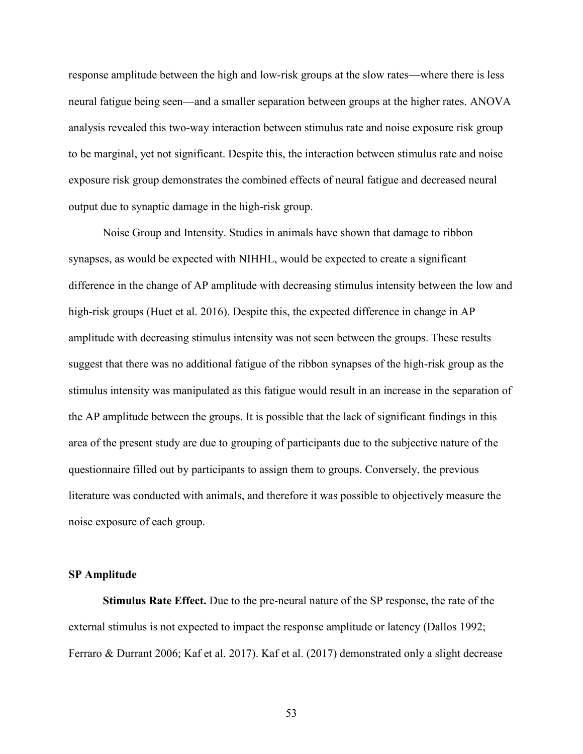response amplitude between the high and low-risk groups at the slow rates—where there is less neural fatigue being seen—and a smaller separation between groups at the higher rates. ANOVA analysis revealed this two-way interaction between stimulus rate and noise exposure risk group to be marginal, yet not significant. Despite this, the interaction between stimulus rate and noise exposure risk group demonstrates the combined effects of neural fatigue and decreased neural output due to synaptic damage in the high-risk group.

Noise Group and Intensity. Studies in animals have shown that damage to ribbon synapses, as would be expected with NIHHL, would be expected to create a significant difference in the change of AP amplitude with decreasing stimulus intensity between the low and high-risk groups (Huet et al. 2016). Despite this, the expected difference in change in AP amplitude with decreasing stimulus intensity was not seen between the groups. These results suggest that there was no additional fatigue of the ribbon synapses of the high-risk group as the stimulus intensity was manipulated as this fatigue would result in an increase in the separation of the AP amplitude between the groups. It is possible that the lack of significant findings in this area of the present study are due to grouping of participants due to the subjective nature of the questionnaire filled out by participants to assign them to groups. Conversely, the previous literature was conducted with animals, and therefore it was possible to objectively measure the noise exposure of each group.

### **SP Amplitude**

**Stimulus Rate Effect.** Due to the pre-neural nature of the SP response, the rate of the external stimulus is not expected to impact the response amplitude or latency (Dallos 1992; Ferraro & Durrant 2006; Kaf et al. 2017). Kaf et al. (2017) demonstrated only a slight decrease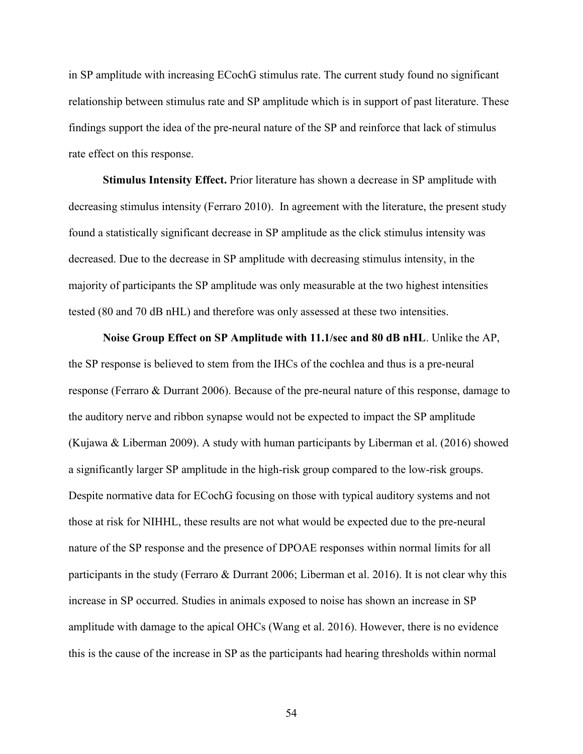in SP amplitude with increasing ECochG stimulus rate. The current study found no significant relationship between stimulus rate and SP amplitude which is in support of past literature. These findings support the idea of the pre-neural nature of the SP and reinforce that lack of stimulus rate effect on this response.

**Stimulus Intensity Effect.** Prior literature has shown a decrease in SP amplitude with decreasing stimulus intensity (Ferraro 2010). In agreement with the literature, the present study found a statistically significant decrease in SP amplitude as the click stimulus intensity was decreased. Due to the decrease in SP amplitude with decreasing stimulus intensity, in the majority of participants the SP amplitude was only measurable at the two highest intensities tested (80 and 70 dB nHL) and therefore was only assessed at these two intensities.

**Noise Group Effect on SP Amplitude with 11.1/sec and 80 dB nHL**. Unlike the AP, the SP response is believed to stem from the IHCs of the cochlea and thus is a pre-neural response (Ferraro & Durrant 2006). Because of the pre-neural nature of this response, damage to the auditory nerve and ribbon synapse would not be expected to impact the SP amplitude (Kujawa & Liberman 2009). A study with human participants by Liberman et al. (2016) showed a significantly larger SP amplitude in the high-risk group compared to the low-risk groups. Despite normative data for ECochG focusing on those with typical auditory systems and not those at risk for NIHHL, these results are not what would be expected due to the pre-neural nature of the SP response and the presence of DPOAE responses within normal limits for all participants in the study (Ferraro & Durrant 2006; Liberman et al. 2016). It is not clear why this increase in SP occurred. Studies in animals exposed to noise has shown an increase in SP amplitude with damage to the apical OHCs (Wang et al. 2016). However, there is no evidence this is the cause of the increase in SP as the participants had hearing thresholds within normal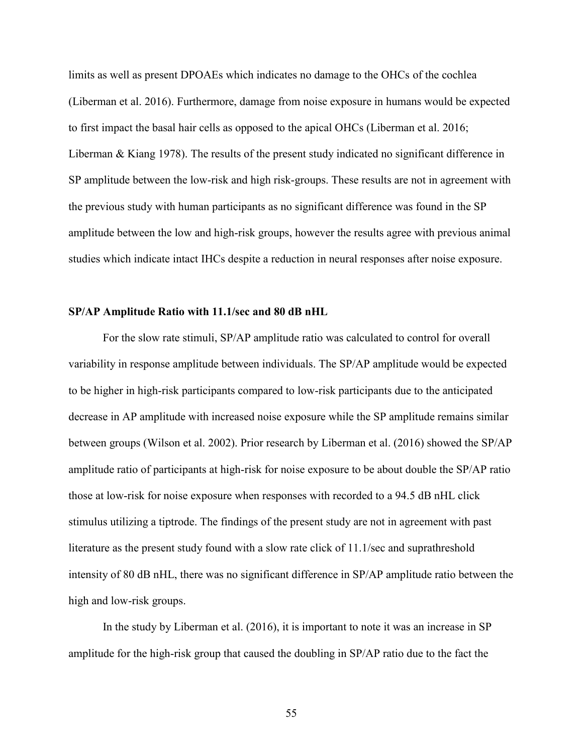limits as well as present DPOAEs which indicates no damage to the OHCs of the cochlea (Liberman et al. 2016). Furthermore, damage from noise exposure in humans would be expected to first impact the basal hair cells as opposed to the apical OHCs (Liberman et al. 2016; Liberman & Kiang 1978). The results of the present study indicated no significant difference in SP amplitude between the low-risk and high risk-groups. These results are not in agreement with the previous study with human participants as no significant difference was found in the SP amplitude between the low and high-risk groups, however the results agree with previous animal studies which indicate intact IHCs despite a reduction in neural responses after noise exposure.

## **SP/AP Amplitude Ratio with 11.1/sec and 80 dB nHL**

For the slow rate stimuli, SP/AP amplitude ratio was calculated to control for overall variability in response amplitude between individuals. The SP/AP amplitude would be expected to be higher in high-risk participants compared to low-risk participants due to the anticipated decrease in AP amplitude with increased noise exposure while the SP amplitude remains similar between groups (Wilson et al. 2002). Prior research by Liberman et al. (2016) showed the SP/AP amplitude ratio of participants at high-risk for noise exposure to be about double the SP/AP ratio those at low-risk for noise exposure when responses with recorded to a 94.5 dB nHL click stimulus utilizing a tiptrode. The findings of the present study are not in agreement with past literature as the present study found with a slow rate click of 11.1/sec and suprathreshold intensity of 80 dB nHL, there was no significant difference in SP/AP amplitude ratio between the high and low-risk groups.

In the study by Liberman et al. (2016), it is important to note it was an increase in SP amplitude for the high-risk group that caused the doubling in SP/AP ratio due to the fact the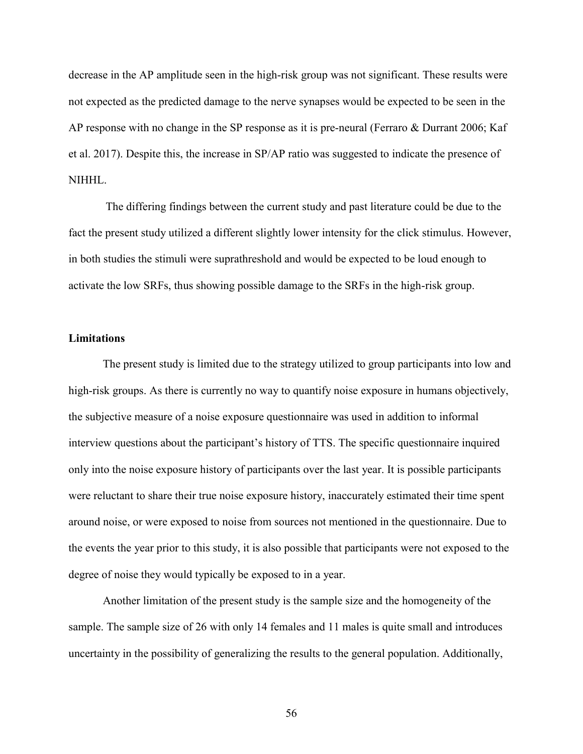decrease in the AP amplitude seen in the high-risk group was not significant. These results were not expected as the predicted damage to the nerve synapses would be expected to be seen in the AP response with no change in the SP response as it is pre-neural (Ferraro & Durrant 2006; Kaf et al. 2017). Despite this, the increase in SP/AP ratio was suggested to indicate the presence of NIHHL.

The differing findings between the current study and past literature could be due to the fact the present study utilized a different slightly lower intensity for the click stimulus. However, in both studies the stimuli were suprathreshold and would be expected to be loud enough to activate the low SRFs, thus showing possible damage to the SRFs in the high-risk group.

### **Limitations**

The present study is limited due to the strategy utilized to group participants into low and high-risk groups. As there is currently no way to quantify noise exposure in humans objectively, the subjective measure of a noise exposure questionnaire was used in addition to informal interview questions about the participant's history of TTS. The specific questionnaire inquired only into the noise exposure history of participants over the last year. It is possible participants were reluctant to share their true noise exposure history, inaccurately estimated their time spent around noise, or were exposed to noise from sources not mentioned in the questionnaire. Due to the events the year prior to this study, it is also possible that participants were not exposed to the degree of noise they would typically be exposed to in a year.

Another limitation of the present study is the sample size and the homogeneity of the sample. The sample size of 26 with only 14 females and 11 males is quite small and introduces uncertainty in the possibility of generalizing the results to the general population. Additionally,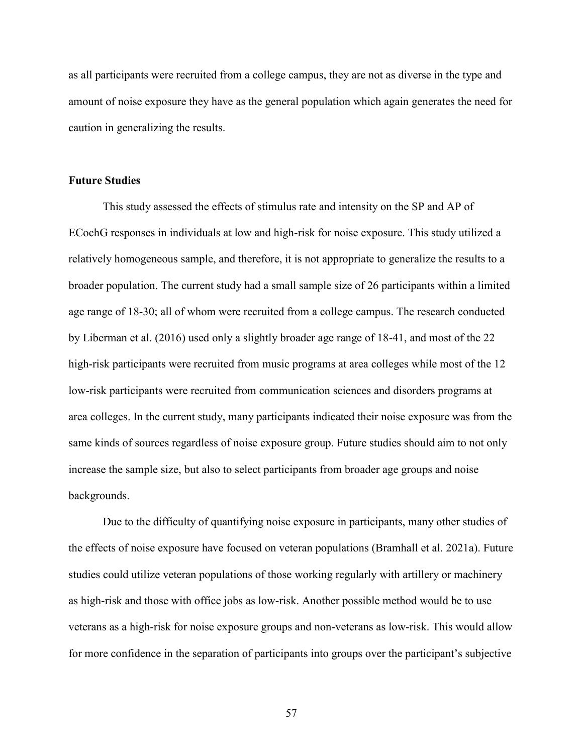as all participants were recruited from a college campus, they are not as diverse in the type and amount of noise exposure they have as the general population which again generates the need for caution in generalizing the results.

## **Future Studies**

This study assessed the effects of stimulus rate and intensity on the SP and AP of ECochG responses in individuals at low and high-risk for noise exposure. This study utilized a relatively homogeneous sample, and therefore, it is not appropriate to generalize the results to a broader population. The current study had a small sample size of 26 participants within a limited age range of 18-30; all of whom were recruited from a college campus. The research conducted by Liberman et al. (2016) used only a slightly broader age range of 18-41, and most of the 22 high-risk participants were recruited from music programs at area colleges while most of the 12 low-risk participants were recruited from communication sciences and disorders programs at area colleges. In the current study, many participants indicated their noise exposure was from the same kinds of sources regardless of noise exposure group. Future studies should aim to not only increase the sample size, but also to select participants from broader age groups and noise backgrounds.

Due to the difficulty of quantifying noise exposure in participants, many other studies of the effects of noise exposure have focused on veteran populations (Bramhall et al. 2021a). Future studies could utilize veteran populations of those working regularly with artillery or machinery as high-risk and those with office jobs as low-risk. Another possible method would be to use veterans as a high-risk for noise exposure groups and non-veterans as low-risk. This would allow for more confidence in the separation of participants into groups over the participant's subjective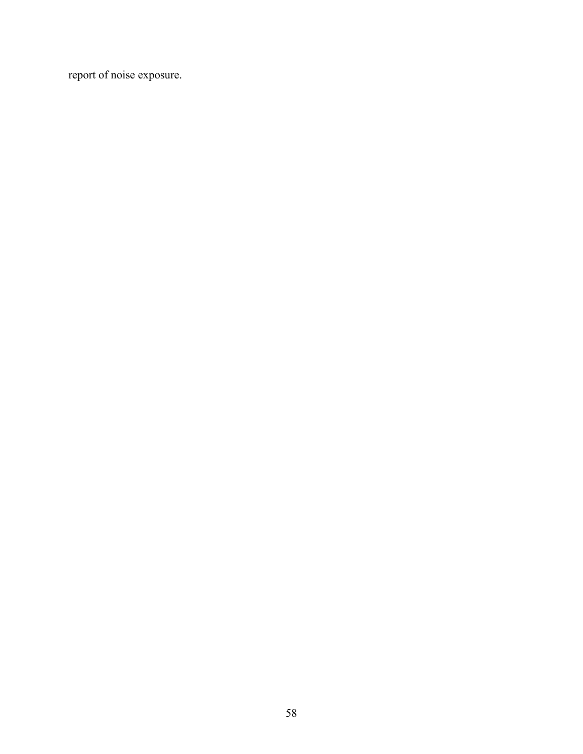report of noise exposure.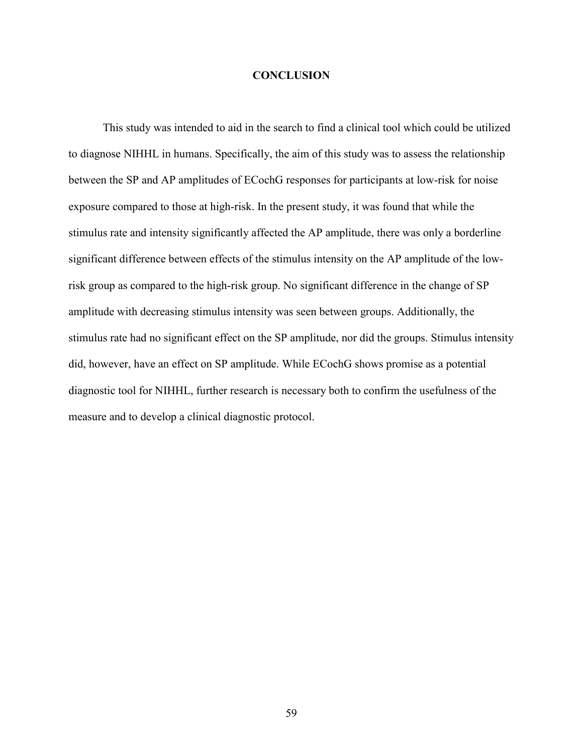### **CONCLUSION**

This study was intended to aid in the search to find a clinical tool which could be utilized to diagnose NIHHL in humans. Specifically, the aim of this study was to assess the relationship between the SP and AP amplitudes of ECochG responses for participants at low-risk for noise exposure compared to those at high-risk. In the present study, it was found that while the stimulus rate and intensity significantly affected the AP amplitude, there was only a borderline significant difference between effects of the stimulus intensity on the AP amplitude of the lowrisk group as compared to the high-risk group. No significant difference in the change of SP amplitude with decreasing stimulus intensity was seen between groups. Additionally, the stimulus rate had no significant effect on the SP amplitude, nor did the groups. Stimulus intensity did, however, have an effect on SP amplitude. While ECochG shows promise as a potential diagnostic tool for NIHHL, further research is necessary both to confirm the usefulness of the measure and to develop a clinical diagnostic protocol.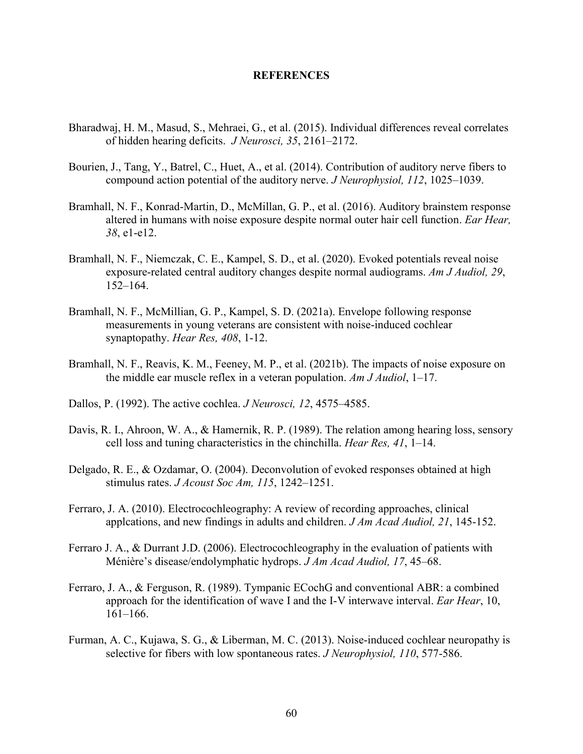### **REFERENCES**

- Bharadwaj, H. M., Masud, S., Mehraei, G., et al. (2015). Individual differences reveal correlates of hidden hearing deficits. *J Neurosci, 35*, 2161–2172.
- Bourien, J., Tang, Y., Batrel, C., Huet, A., et al. (2014). Contribution of auditory nerve fibers to compound action potential of the auditory nerve. *J Neurophysiol, 112*, 1025–1039.
- Bramhall, N. F., Konrad-Martin, D., McMillan, G. P., et al. (2016). Auditory brainstem response altered in humans with noise exposure despite normal outer hair cell function. *Ear Hear, 38*, e1-e12.
- Bramhall, N. F., Niemczak, C. E., Kampel, S. D., et al. (2020). Evoked potentials reveal noise exposure-related central auditory changes despite normal audiograms. *Am J Audiol, 29*, 152–164.
- Bramhall, N. F., McMillian, G. P., Kampel, S. D. (2021a). Envelope following response measurements in young veterans are consistent with noise-induced cochlear synaptopathy. *Hear Res, 408*, 1-12.
- Bramhall, N. F., Reavis, K. M., Feeney, M. P., et al. (2021b). The impacts of noise exposure on the middle ear muscle reflex in a veteran population. *Am J Audiol*, 1–17.
- Dallos, P. (1992). The active cochlea. *J Neurosci, 12*, 4575–4585.
- Davis, R. I., Ahroon, W. A., & Hamernik, R. P. (1989). The relation among hearing loss, sensory cell loss and tuning characteristics in the chinchilla. *Hear Res, 41*, 1–14.
- Delgado, R. E., & Ozdamar, O. (2004). Deconvolution of evoked responses obtained at high stimulus rates. *J Acoust Soc Am, 115*, 1242–1251.
- Ferraro, J. A. (2010). Electrocochleography: A review of recording approaches, clinical applcations, and new findings in adults and children. *J Am Acad Audiol, 21*, 145-152.
- Ferraro J. A., & Durrant J.D. (2006). Electrocochleography in the evaluation of patients with Ménière's disease/endolymphatic hydrops. *J Am Acad Audiol, 17*, 45–68.
- Ferraro, J. A., & Ferguson, R. (1989). Tympanic ECochG and conventional ABR: a combined approach for the identification of wave I and the I-V interwave interval. *Ear Hear*, 10, 161–166.
- Furman, A. C., Kujawa, S. G., & Liberman, M. C. (2013). Noise-induced cochlear neuropathy is selective for fibers with low spontaneous rates. *J Neurophysiol, 110*, 577-586.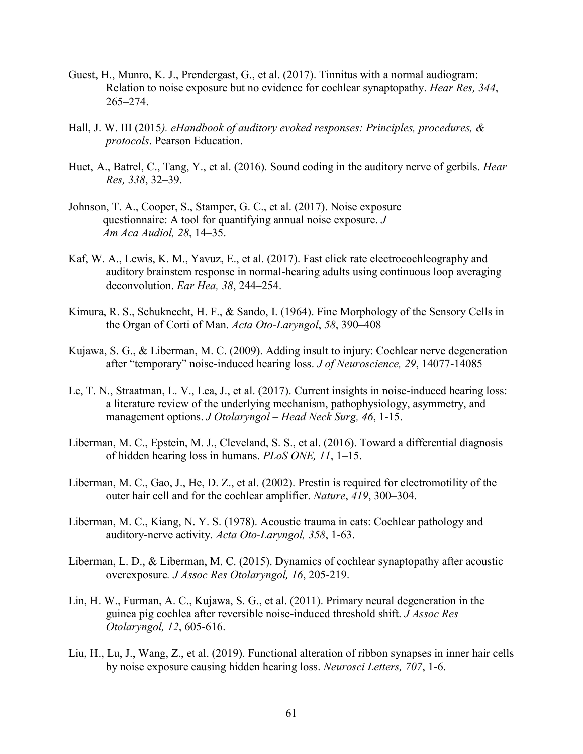- Guest, H., Munro, K. J., Prendergast, G., et al. (2017). Tinnitus with a normal audiogram: Relation to noise exposure but no evidence for cochlear synaptopathy. *Hear Res, 344*, 265–274.
- Hall, J. W. III (2015*). eHandbook of auditory evoked responses: Principles, procedures, & protocols*. Pearson Education.
- Huet, A., Batrel, C., Tang, Y., et al. (2016). Sound coding in the auditory nerve of gerbils. *Hear Res, 338*, 32–39.
- Johnson, T. A., Cooper, S., Stamper, G. C., et al. (2017). Noise exposure questionnaire: A tool for quantifying annual noise exposure. *J Am Aca Audiol, 28*, 14–35.
- Kaf, W. A., Lewis, K. M., Yavuz, E., et al. (2017). Fast click rate electrocochleography and auditory brainstem response in normal-hearing adults using continuous loop averaging deconvolution. *Ear Hea, 38*, 244–254.
- Kimura, R. S., Schuknecht, H. F., & Sando, I. (1964). Fine Morphology of the Sensory Cells in the Organ of Corti of Man. *Acta Oto-Laryngol*, *58*, 390–408
- Kujawa, S. G., & Liberman, M. C. (2009). Adding insult to injury: Cochlear nerve degeneration after "temporary" noise-induced hearing loss. *J of Neuroscience*, 29, 14077-14085
- Le, T. N., Straatman, L. V., Lea, J., et al. (2017). Current insights in noise-induced hearing loss: a literature review of the underlying mechanism, pathophysiology, asymmetry, and management options. *J Otolaryngol – Head Neck Surg, 46*, 1-15.
- Liberman, M. C., Epstein, M. J., Cleveland, S. S., et al. (2016). Toward a differential diagnosis of hidden hearing loss in humans. *PLoS ONE, 11*, 1–15.
- Liberman, M. C., Gao, J., He, D. Z., et al. (2002). Prestin is required for electromotility of the outer hair cell and for the cochlear amplifier. *Nature*, *419*, 300–304.
- Liberman, M. C., Kiang, N. Y. S. (1978). Acoustic trauma in cats: Cochlear pathology and auditory-nerve activity. *Acta Oto-Laryngol, 358*, 1-63.
- Liberman, L. D., & Liberman, M. C. (2015). Dynamics of cochlear synaptopathy after acoustic overexposure*. J Assoc Res Otolaryngol, 16*, 205-219.
- Lin, H. W., Furman, A. C., Kujawa, S. G., et al. (2011). Primary neural degeneration in the guinea pig cochlea after reversible noise-induced threshold shift. *J Assoc Res Otolaryngol, 12*, 605-616.
- Liu, H., Lu, J., Wang, Z., et al. (2019). Functional alteration of ribbon synapses in inner hair cells by noise exposure causing hidden hearing loss. *Neurosci Letters, 707*, 1-6.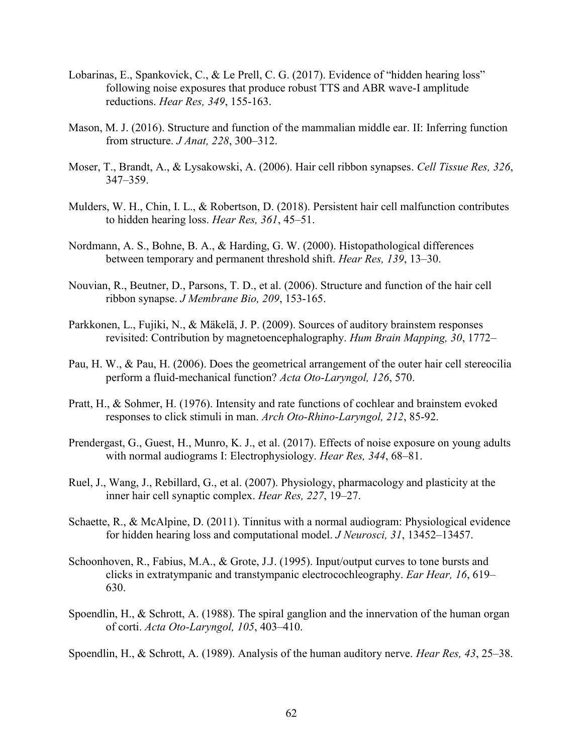- Lobarinas, E., Spankovick, C., & Le Prell, C. G.  $(2017)$ . Evidence of "hidden hearing loss" following noise exposures that produce robust TTS and ABR wave-I amplitude reductions. *Hear Res, 349*, 155-163.
- Mason, M. J. (2016). Structure and function of the mammalian middle ear. II: Inferring function from structure. *J Anat, 228*, 300–312.
- Moser, T., Brandt, A., & Lysakowski, A. (2006). Hair cell ribbon synapses. *Cell Tissue Res, 326*, 347–359.
- Mulders, W. H., Chin, I. L., & Robertson, D. (2018). Persistent hair cell malfunction contributes to hidden hearing loss. *Hear Res, 361*, 45–51.
- Nordmann, A. S., Bohne, B. A., & Harding, G. W. (2000). Histopathological differences between temporary and permanent threshold shift. *Hear Res, 139*, 13–30.
- Nouvian, R., Beutner, D., Parsons, T. D., et al. (2006). Structure and function of the hair cell ribbon synapse. *J Membrane Bio, 209*, 153-165.
- Parkkonen, L., Fujiki, N., & Mäkelä, J. P. (2009). Sources of auditory brainstem responses revisited: Contribution by magnetoencephalography. *Hum Brain Mapping, 30*, 1772–
- Pau, H. W., & Pau, H. (2006). Does the geometrical arrangement of the outer hair cell stereocilia perform a fluid-mechanical function? *Acta Oto-Laryngol, 126*, 570.
- Pratt, H., & Sohmer, H. (1976). Intensity and rate functions of cochlear and brainstem evoked responses to click stimuli in man. *Arch Oto-Rhino-Laryngol, 212*, 85-92.
- Prendergast, G., Guest, H., Munro, K. J., et al. (2017). Effects of noise exposure on young adults with normal audiograms I: Electrophysiology. *Hear Res, 344*, 68–81.
- Ruel, J., Wang, J., Rebillard, G., et al. (2007). Physiology, pharmacology and plasticity at the inner hair cell synaptic complex. *Hear Res, 227*, 19–27.
- Schaette, R., & McAlpine, D. (2011). Tinnitus with a normal audiogram: Physiological evidence for hidden hearing loss and computational model. *J Neurosci, 31*, 13452–13457.
- Schoonhoven, R., Fabius, M.A., & Grote, J.J. (1995). Input/output curves to tone bursts and clicks in extratympanic and transtympanic electrocochleography. *Ear Hear, 16*, 619– 630.
- Spoendlin, H., & Schrott, A. (1988). The spiral ganglion and the innervation of the human organ of corti. *Acta Oto-Laryngol, 105*, 403–410.

Spoendlin, H., & Schrott, A. (1989). Analysis of the human auditory nerve. *Hear Res, 43*, 25–38.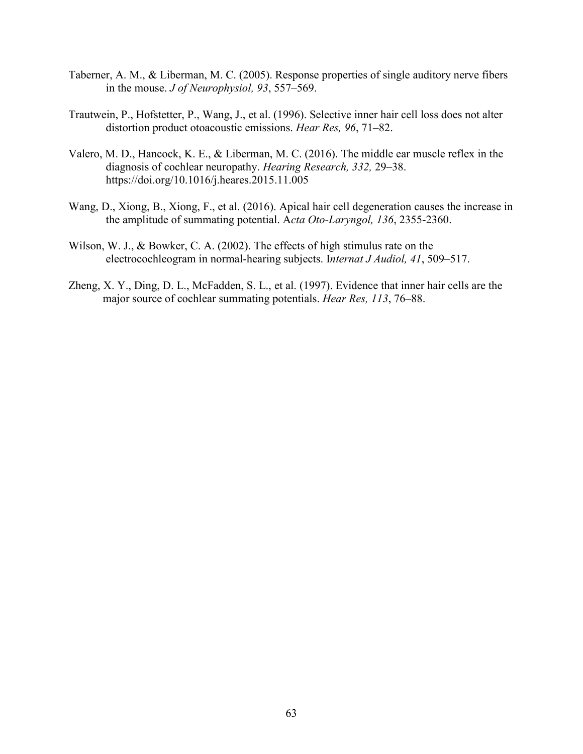- Taberner, A. M., & Liberman, M. C. (2005). Response properties of single auditory nerve fibers in the mouse. *J of Neurophysiol, 93*, 557–569.
- Trautwein, P., Hofstetter, P., Wang, J., et al. (1996). Selective inner hair cell loss does not alter distortion product otoacoustic emissions. *Hear Res, 96*, 71–82.
- Valero, M. D., Hancock, K. E., & Liberman, M. C. (2016). The middle ear muscle reflex in the diagnosis of cochlear neuropathy. *Hearing Research, 332,* 29–38. https://doi.org/10.1016/j.heares.2015.11.005
- Wang, D., Xiong, B., Xiong, F., et al. (2016). Apical hair cell degeneration causes the increase in the amplitude of summating potential. A*cta Oto-Laryngol, 136*, 2355-2360.
- Wilson, W. J., & Bowker, C. A. (2002). The effects of high stimulus rate on the electrocochleogram in normal-hearing subjects. I*nternat J Audiol, 41*, 509–517.
- Zheng, X. Y., Ding, D. L., McFadden, S. L., et al. (1997). Evidence that inner hair cells are the major source of cochlear summating potentials. *Hear Res, 113*, 76–88.